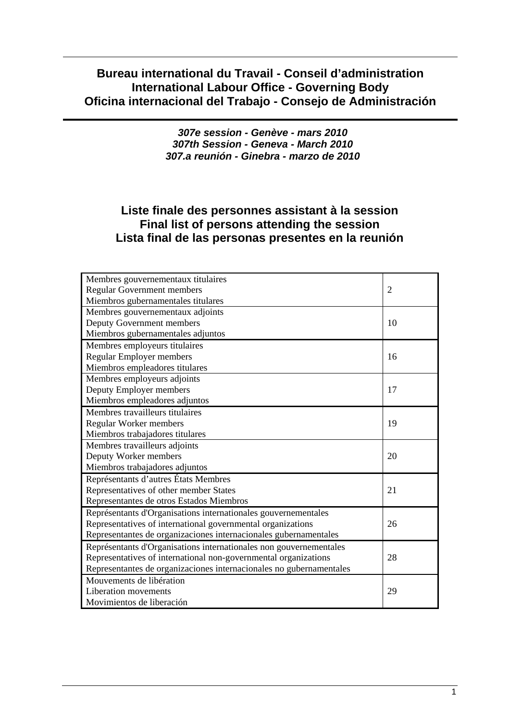# **Bureau international du Travail - Conseil d'administration International Labour Office - Governing Body Oficina internacional del Trabajo - Consejo de Administración**

*307e session - Genève - mars 2010 307th Session - Geneva - March 2010 307.a reunión - Ginebra - marzo de 2010* 

# **Liste finale des personnes assistant à la session Final list of persons attending the session Lista final de las personas presentes en la reunión**

| Membres gouvernementaux titulaires                                  |                |
|---------------------------------------------------------------------|----------------|
| <b>Regular Government members</b>                                   | $\overline{2}$ |
| Miembros gubernamentales titulares                                  |                |
| Membres gouvernementaux adjoints                                    |                |
| Deputy Government members                                           | 10             |
| Miembros gubernamentales adjuntos                                   |                |
| Membres employeurs titulaires                                       |                |
| <b>Regular Employer members</b>                                     | 16             |
| Miembros empleadores titulares                                      |                |
| Membres employeurs adjoints                                         |                |
| Deputy Employer members                                             | 17             |
| Miembros empleadores adjuntos                                       |                |
| Membres travailleurs titulaires                                     |                |
| Regular Worker members                                              | 19             |
| Miembros trabajadores titulares                                     |                |
| Membres travailleurs adjoints                                       |                |
| Deputy Worker members                                               | 20             |
| Miembros trabajadores adjuntos                                      |                |
| Représentants d'autres États Membres                                |                |
| Representatives of other member States                              | 21             |
| Representantes de otros Estados Miembros                            |                |
| Représentants d'Organisations internationales gouvernementales      |                |
| Representatives of international governmental organizations         | 26             |
| Representantes de organizaciones internacionales gubernamentales    |                |
| Représentants d'Organisations internationales non gouvernementales  |                |
| Representatives of international non-governmental organizations     | 28             |
| Representantes de organizaciones internacionales no gubernamentales |                |
| Mouvements de libération                                            |                |
| Liberation movements                                                | 29             |
| Movimientos de liberación                                           |                |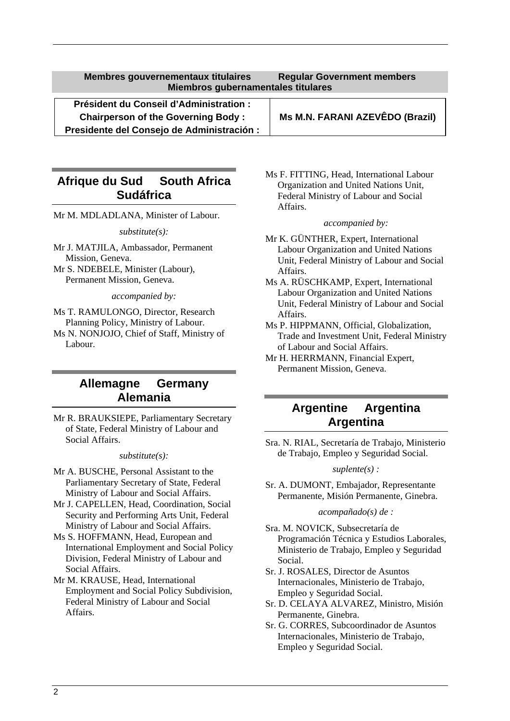**Membres gouvernementaux titulaires Regular Government members Miembros gubernamentales titulares** 

**Président du Conseil d'Administration :**  Chairperson of the Governing Body : **No. M.S. M.N. FARANI AZEVÊDO** (Brazil) **Presidente del Consejo de Administración :** 

# **Afrique du Sud South Africa Sudáfrica**

Mr M. MDLADLANA, Minister of Labour.

*substitute(s):* 

Mr J. MATJILA, Ambassador, Permanent Mission, Geneva.

Mr S. NDEBELE, Minister (Labour), Permanent Mission, Geneva.

*accompanied by:* 

Ms T. RAMULONGO, Director, Research Planning Policy, Ministry of Labour.

Ms N. NONJOJO, Chief of Staff, Ministry of Labour.

# **Allemagne Germany Alemania**

Mr R. BRAUKSIEPE, Parliamentary Secretary of State, Federal Ministry of Labour and Social Affairs.

#### *substitute(s):*

- Mr A. BUSCHE, Personal Assistant to the Parliamentary Secretary of State, Federal Ministry of Labour and Social Affairs.
- Mr J. CAPELLEN, Head, Coordination, Social Security and Performing Arts Unit, Federal Ministry of Labour and Social Affairs.
- Ms S. HOFFMANN, Head, European and International Employment and Social Policy Division, Federal Ministry of Labour and Social Affairs.

Mr M. KRAUSE, Head, International Employment and Social Policy Subdivision, Federal Ministry of Labour and Social Affairs.

Ms F. FITTING, Head, International Labour Organization and United Nations Unit, Federal Ministry of Labour and Social Affairs.

#### *accompanied by:*

- Mr K. GÜNTHER, Expert, International Labour Organization and United Nations Unit, Federal Ministry of Labour and Social Affairs.
- Ms A. RÜSCHKAMP, Expert, International Labour Organization and United Nations Unit, Federal Ministry of Labour and Social Affairs.

Ms P. HIPPMANN, Official, Globalization, Trade and Investment Unit, Federal Ministry of Labour and Social Affairs.

Mr H. HERRMANN, Financial Expert, Permanent Mission, Geneva.

# **Argentine Argentina Argentina**

Sra. N. RIAL, Secretaría de Trabajo, Ministerio de Trabajo, Empleo y Seguridad Social.

#### *suplente(s) :*

Sr. A. DUMONT, Embajador, Representante Permanente, Misión Permanente, Ginebra.

#### *acompañado(s) de :*

- Sra. M. NOVICK, Subsecretaría de Programación Técnica y Estudios Laborales, Ministerio de Trabajo, Empleo y Seguridad Social.
- Sr. J. ROSALES, Director de Asuntos Internacionales, Ministerio de Trabajo, Empleo y Seguridad Social.
- Sr. D. CELAYA ALVAREZ, Ministro, Misión Permanente, Ginebra.
- Sr. G. CORRES, Subcoordinador de Asuntos Internacionales, Ministerio de Trabajo, Empleo y Seguridad Social.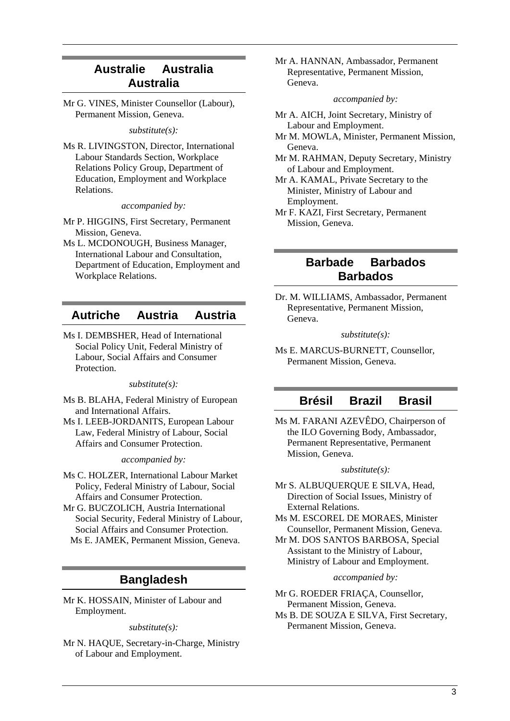# **Australie Australia Australia**

Mr G. VINES, Minister Counsellor (Labour), Permanent Mission, Geneva.

*substitute(s):* 

Ms R. LIVINGSTON, Director, International Labour Standards Section, Workplace Relations Policy Group, Department of Education, Employment and Workplace Relations.

*accompanied by:* 

Mr P. HIGGINS, First Secretary, Permanent Mission, Geneva.

Ms L. MCDONOUGH, Business Manager, International Labour and Consultation, Department of Education, Employment and Workplace Relations.

# **Autriche Austria Austria**

Ms I. DEMBSHER, Head of International Social Policy Unit, Federal Ministry of Labour, Social Affairs and Consumer **Protection** 

*substitute(s):* 

Ms B. BLAHA, Federal Ministry of European and International Affairs.

Ms I. LEEB-JORDANITS, European Labour Law, Federal Ministry of Labour, Social Affairs and Consumer Protection.

*accompanied by:* 

Ms C. HOLZER, International Labour Market Policy, Federal Ministry of Labour, Social Affairs and Consumer Protection.

Mr G. BUCZOLICH, Austria International Social Security, Federal Ministry of Labour, Social Affairs and Consumer Protection. Ms E. JAMEK, Permanent Mission, Geneva.

# **Bangladesh**

Mr K. HOSSAIN, Minister of Labour and Employment.

*substitute(s):* 

Mr N. HAQUE, Secretary-in-Charge, Ministry of Labour and Employment.

Mr A. HANNAN, Ambassador, Permanent Representative, Permanent Mission, Geneva.

*accompanied by:* 

- Mr A. AICH, Joint Secretary, Ministry of Labour and Employment.
- Mr M. MOWLA, Minister, Permanent Mission, Geneva.
- Mr M. RAHMAN, Deputy Secretary, Ministry of Labour and Employment.
- Mr A. KAMAL, Private Secretary to the Minister, Ministry of Labour and Employment.
- Mr F. KAZI, First Secretary, Permanent Mission, Geneva.

# **Barbade Barbados Barbados**

Dr. M. WILLIAMS, Ambassador, Permanent Representative, Permanent Mission, Geneva.

*substitute(s):* 

Ms E. MARCUS-BURNETT, Counsellor, Permanent Mission, Geneva.

# **Brésil Brazil Brasil**

Ms M. FARANI AZEVÊDO, Chairperson of the ILO Governing Body, Ambassador, Permanent Representative, Permanent Mission, Geneva.

#### *substitute(s):*

- Mr S. ALBUQUERQUE E SILVA, Head, Direction of Social Issues, Ministry of External Relations.
- Ms M. ESCOREL DE MORAES, Minister Counsellor, Permanent Mission, Geneva.
- Mr M. DOS SANTOS BARBOSA, Special Assistant to the Ministry of Labour, Ministry of Labour and Employment.

#### *accompanied by:*

Mr G. ROEDER FRIAÇA, Counsellor, Permanent Mission, Geneva.

Ms B. DE SOUZA E SILVA, First Secretary, Permanent Mission, Geneva.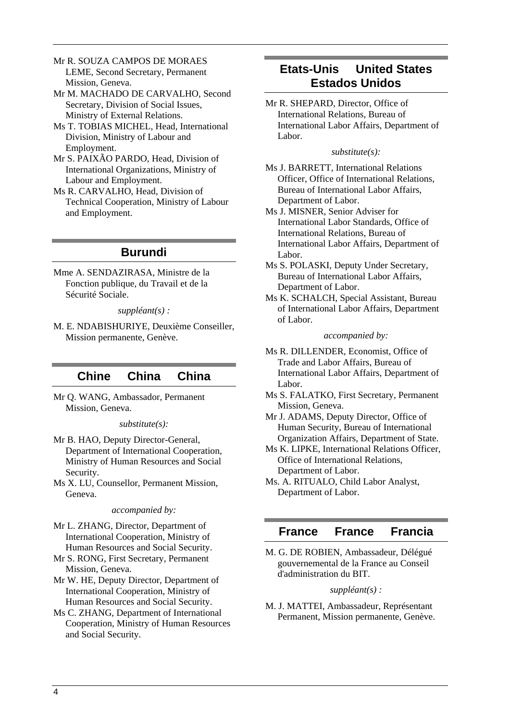- Mr R. SOUZA CAMPOS DE MORAES LEME, Second Secretary, Permanent Mission, Geneva.
- Mr M. MACHADO DE CARVALHO, Second Secretary, Division of Social Issues, Ministry of External Relations.
- Ms T. TOBIAS MICHEL, Head, International Division, Ministry of Labour and Employment.
- Mr S. PAIXÃO PARDO, Head, Division of International Organizations, Ministry of Labour and Employment.
- Ms R. CARVALHO, Head, Division of Technical Cooperation, Ministry of Labour and Employment.

### **Burundi**

Mme A. SENDAZIRASA, Ministre de la Fonction publique, du Travail et de la Sécurité Sociale.

#### *suppléant(s) :*

M. E. NDABISHURIYE, Deuxième Conseiller, Mission permanente, Genève.

### **Chine China China**

Mr Q. WANG, Ambassador, Permanent Mission, Geneva.

#### *substitute(s):*

- Mr B. HAO, Deputy Director-General, Department of International Cooperation, Ministry of Human Resources and Social Security.
- Ms X. LU, Counsellor, Permanent Mission, Geneva.

*accompanied by:* 

- Mr L. ZHANG, Director, Department of International Cooperation, Ministry of Human Resources and Social Security.
- Mr S. RONG, First Secretary, Permanent Mission, Geneva.
- Mr W. HE, Deputy Director, Department of International Cooperation, Ministry of Human Resources and Social Security.
- Ms C. ZHANG, Department of International Cooperation, Ministry of Human Resources and Social Security.

# **Etats-Unis United States Estados Unidos**

Mr R. SHEPARD, Director, Office of International Relations, Bureau of International Labor Affairs, Department of Labor.

#### *substitute(s):*

- Ms J. BARRETT, International Relations Officer, Office of International Relations, Bureau of International Labor Affairs, Department of Labor.
- Ms J. MISNER, Senior Adviser for International Labor Standards, Office of International Relations, Bureau of International Labor Affairs, Department of Labor.
- Ms S. POLASKI, Deputy Under Secretary, Bureau of International Labor Affairs, Department of Labor.
- Ms K. SCHALCH, Special Assistant, Bureau of International Labor Affairs, Department of Labor.

#### *accompanied by:*

- Ms R. DILLENDER, Economist, Office of Trade and Labor Affairs, Bureau of International Labor Affairs, Department of Labor.
- Ms S. FALATKO, First Secretary, Permanent Mission, Geneva.
- Mr J. ADAMS, Deputy Director, Office of Human Security, Bureau of International Organization Affairs, Department of State.
- Ms K. LIPKE, International Relations Officer, Office of International Relations, Department of Labor.
- Ms. A. RITUALO, Child Labor Analyst, Department of Labor.

### **France France Francia**

M. G. DE ROBIEN, Ambassadeur, Délégué gouvernemental de la France au Conseil d'administration du BIT.

#### *suppléant(s) :*

M. J. MATTEI, Ambassadeur, Représentant Permanent, Mission permanente, Genève.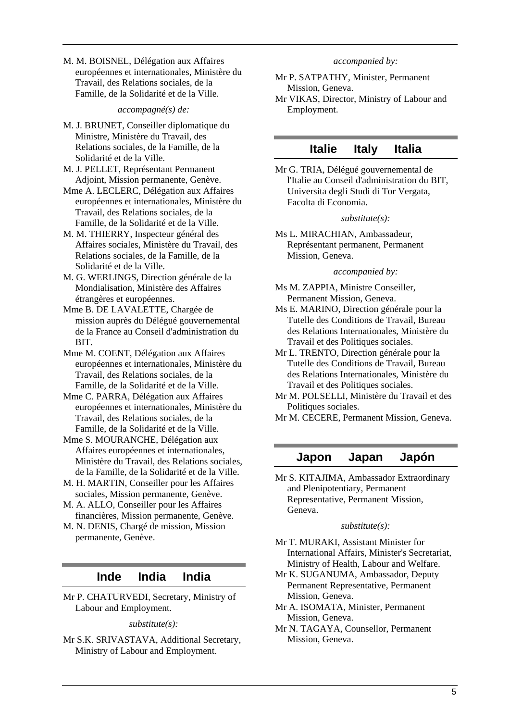M. M. BOISNEL, Délégation aux Affaires européennes et internationales, Ministère du Travail, des Relations sociales, de la Famille, de la Solidarité et de la Ville.

#### *accompagné(s) de:*

- M. J. BRUNET, Conseiller diplomatique du Ministre, Ministère du Travail, des Relations sociales, de la Famille, de la Solidarité et de la Ville.
- M. J. PELLET, Représentant Permanent Adjoint, Mission permanente, Genève.
- Mme A. LECLERC, Délégation aux Affaires européennes et internationales, Ministère du Travail, des Relations sociales, de la Famille, de la Solidarité et de la Ville.
- M. M. THIERRY, Inspecteur général des Affaires sociales, Ministère du Travail, des Relations sociales, de la Famille, de la Solidarité et de la Ville.
- M. G. WERLINGS, Direction générale de la Mondialisation, Ministère des Affaires étrangères et européennes.
- Mme B. DE LAVALETTE, Chargée de mission auprès du Délégué gouvernemental de la France au Conseil d'administration du BIT.
- Mme M. COENT, Délégation aux Affaires européennes et internationales, Ministère du Travail, des Relations sociales, de la Famille, de la Solidarité et de la Ville.
- Mme C. PARRA, Délégation aux Affaires européennes et internationales, Ministère du Travail, des Relations sociales, de la Famille, de la Solidarité et de la Ville.
- Mme S. MOURANCHE, Délégation aux Affaires européennes et internationales, Ministère du Travail, des Relations sociales, de la Famille, de la Solidarité et de la Ville.
- M. H. MARTIN, Conseiller pour les Affaires sociales, Mission permanente, Genève.
- M. A. ALLO, Conseiller pour les Affaires financières, Mission permanente, Genève.
- M. N. DENIS, Chargé de mission, Mission permanente, Genève.

### **Inde India India**

Mr P. CHATURVEDI, Secretary, Ministry of Labour and Employment.

*substitute(s):* 

Mr S.K. SRIVASTAVA, Additional Secretary, Ministry of Labour and Employment.

#### *accompanied by:*

- Mr P. SATPATHY, Minister, Permanent Mission, Geneva.
- Mr VIKAS, Director, Ministry of Labour and Employment.

### **Italie Italy Italia**

Mr G. TRIA, Délégué gouvernemental de l'Italie au Conseil d'administration du BIT, Universita degli Studi di Tor Vergata, Facolta di Economia.

#### *substitute(s):*

Ms L. MIRACHIAN, Ambassadeur, Représentant permanent, Permanent Mission, Geneva.

#### *accompanied by:*

- Ms M. ZAPPIA, Ministre Conseiller, Permanent Mission, Geneva.
- Ms E. MARINO, Direction générale pour la Tutelle des Conditions de Travail, Bureau des Relations Internationales, Ministère du Travail et des Politiques sociales.
- Mr L. TRENTO, Direction générale pour la Tutelle des Conditions de Travail, Bureau des Relations Internationales, Ministère du Travail et des Politiques sociales.
- Mr M. POLSELLI, Ministère du Travail et des Politiques sociales.
- Mr M. CECERE, Permanent Mission, Geneva.

### **Japon Japan Japón**

Mr S. KITAJIMA, Ambassador Extraordinary and Plenipotentiary, Permanent Representative, Permanent Mission, Geneva.

#### *substitute(s):*

- Mr T. MURAKI, Assistant Minister for International Affairs, Minister's Secretariat, Ministry of Health, Labour and Welfare.
- Mr K. SUGANUMA, Ambassador, Deputy Permanent Representative, Permanent Mission, Geneva.
- Mr A. ISOMATA, Minister, Permanent Mission, Geneva.
- Mr N. TAGAYA, Counsellor, Permanent Mission, Geneva.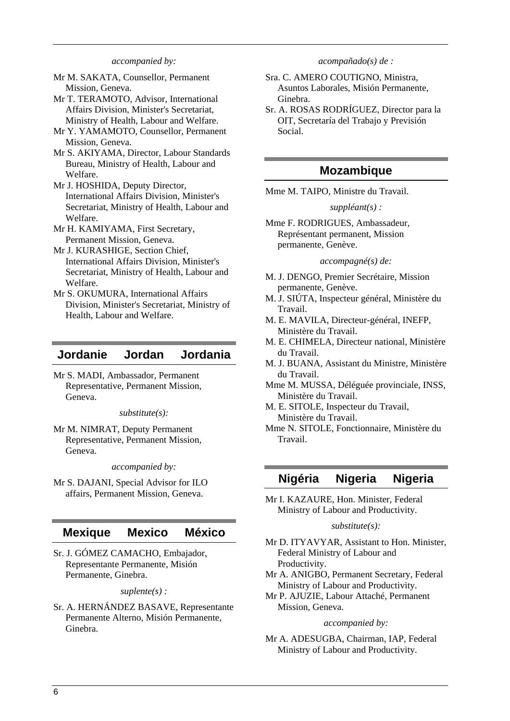#### *accompanied by:*

Mr M. SAKATA, Counsellor, Permanent Mission, Geneva.

- Mr T. TERAMOTO, Advisor, International Affairs Division, Minister's Secretariat, Ministry of Health, Labour and Welfare.
- Mr Y. YAMAMOTO, Counsellor, Permanent Mission, Geneva.
- Mr S. AKIYAMA, Director, Labour Standards Bureau, Ministry of Health, Labour and Welfare.
- Mr J. HOSHIDA, Deputy Director, International Affairs Division, Minister's Secretariat, Ministry of Health, Labour and Welfare.
- Mr H. KAMIYAMA, First Secretary, Permanent Mission, Geneva.
- Mr J. KURASHIGE, Section Chief, International Affairs Division, Minister's Secretariat, Ministry of Health, Labour and Welfare.
- Mr S. OKUMURA, International Affairs Division, Minister's Secretariat, Ministry of Health, Labour and Welfare.

### **Jordanie Jordan Jordania**

Mr S. MADI, Ambassador, Permanent Representative, Permanent Mission, Geneva.

*substitute(s):* 

Mr M. NIMRAT, Deputy Permanent Representative, Permanent Mission, Geneva.

*accompanied by:* 

Mr S. DAJANI, Special Advisor for ILO affairs, Permanent Mission, Geneva.

### **Mexique Mexico México**

Sr. J. GÓMEZ CAMACHO, Embajador, Representante Permanente, Misión Permanente, Ginebra.

*suplente(s) :* 

Sr. A. HERNÁNDEZ BASAVE, Representante Permanente Alterno, Misión Permanente, Ginebra.

#### *acompañado(s) de :*

- Sra. C. AMERO COUTIGNO, Ministra, Asuntos Laborales, Misión Permanente, Ginebra.
- Sr. A. ROSAS RODRÍGUEZ, Director para la OIT, Secretaría del Trabajo y Previsión Social.

# **Mozambique**

Mme M. TAIPO, Ministre du Travail.

*suppléant(s) :* 

Mme F. RODRIGUES, Ambassadeur, Représentant permanent, Mission permanente, Genève.

*accompagné(s) de:* 

- M. J. DENGO, Premier Secrétaire, Mission permanente, Genève.
- M. J. SIÚTA, Inspecteur général, Ministère du Travail.
- M. E. MAVILA, Directeur-général, INEFP, Ministère du Travail.
- M. E. CHIMELA, Directeur national, Ministère du Travail.
- M. J. BUANA, Assistant du Ministre, Ministère du Travail.
- Mme M. MUSSA, Déléguée provinciale, INSS, Ministère du Travail.
- M. E. SITOLE, Inspecteur du Travail, Ministère du Travail.
- Mme N. SITOLE, Fonctionnaire, Ministère du Travail.

### **Nigéria Nigeria Nigeria**

Mr I. KAZAURE, Hon. Minister, Federal Ministry of Labour and Productivity.

#### *substitute(s):*

Mr D. ITYAVYAR, Assistant to Hon. Minister, Federal Ministry of Labour and Productivity.

- Mr A. ANIGBO, Permanent Secretary, Federal Ministry of Labour and Productivity.
- Mr P. AJUZIE, Labour Attaché, Permanent Mission, Geneva.

#### *accompanied by:*

Mr A. ADESUGBA, Chairman, IAP, Federal Ministry of Labour and Productivity.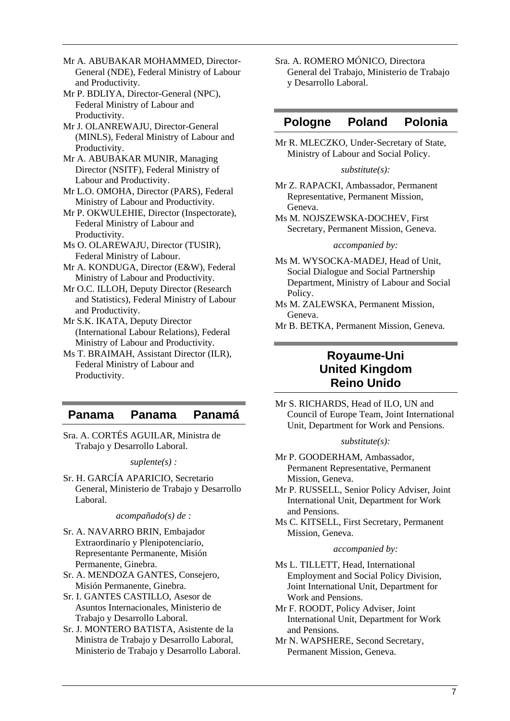Mr A. ABUBAKAR MOHAMMED, Director-General (NDE), Federal Ministry of Labour and Productivity.

Mr P. BDLIYA, Director-General (NPC), Federal Ministry of Labour and Productivity.

Mr J. OLANREWAJU, Director-General (MINLS), Federal Ministry of Labour and Productivity.

Mr A. ABUBAKAR MUNIR, Managing Director (NSITF), Federal Ministry of Labour and Productivity.

Mr L.O. OMOHA, Director (PARS), Federal Ministry of Labour and Productivity.

Mr P. OKWULEHIE, Director (Inspectorate), Federal Ministry of Labour and Productivity.

Ms O. OLAREWAJU, Director (TUSIR), Federal Ministry of Labour.

Mr A. KONDUGA, Director (E&W), Federal Ministry of Labour and Productivity.

Mr O.C. ILLOH, Deputy Director (Research and Statistics), Federal Ministry of Labour and Productivity.

Mr S.K. IKATA, Deputy Director (International Labour Relations), Federal Ministry of Labour and Productivity.

Ms T. BRAIMAH, Assistant Director (ILR), Federal Ministry of Labour and Productivity.

### **Panama Panama Panamá**

Sra. A. CORTÉS AGUILAR, Ministra de Trabajo y Desarrollo Laboral.

#### *suplente(s) :*

Sr. H. GARCÍA APARICIO, Secretario General, Ministerio de Trabajo y Desarrollo Laboral.

*acompañado(s) de :* 

Sr. A. NAVARRO BRIN, Embajador Extraordinario y Plenipotenciario, Representante Permanente, Misión Permanente, Ginebra.

Sr. A. MENDOZA GANTES, Consejero, Misión Permanente, Ginebra.

Sr. I. GANTES CASTILLO, Asesor de Asuntos Internacionales, Ministerio de Trabajo y Desarrollo Laboral.

Sr. J. MONTERO BATISTA, Asistente de la Ministra de Trabajo y Desarrollo Laboral, Ministerio de Trabajo y Desarrollo Laboral. Sra. A. ROMERO MÓNICO, Directora General del Trabajo, Ministerio de Trabajo y Desarrollo Laboral.

### **Pologne Poland Polonia**

Mr R. MLECZKO, Under-Secretary of State, Ministry of Labour and Social Policy.

#### *substitute(s):*

Mr Z. RAPACKI, Ambassador, Permanent Representative, Permanent Mission, Geneva.

Ms M. NOJSZEWSKA-DOCHEV, First Secretary, Permanent Mission, Geneva.

#### *accompanied by:*

Ms M. WYSOCKA-MADEJ, Head of Unit, Social Dialogue and Social Partnership Department, Ministry of Labour and Social Policy.

Ms M. ZALEWSKA, Permanent Mission, Geneva.

Mr B. BETKA, Permanent Mission, Geneva.

# **Royaume-Uni United Kingdom Reino Unido**

Mr S. RICHARDS, Head of ILO, UN and Council of Europe Team, Joint International Unit, Department for Work and Pensions.

#### *substitute(s):*

Mr P. GOODERHAM, Ambassador, Permanent Representative, Permanent Mission, Geneva.

Mr P. RUSSELL, Senior Policy Adviser, Joint International Unit, Department for Work and Pensions.

Ms C. KITSELL, First Secretary, Permanent Mission, Geneva.

#### *accompanied by:*

Ms L. TILLETT, Head, International Employment and Social Policy Division, Joint International Unit, Department for Work and Pensions.

Mr F. ROODT, Policy Adviser, Joint International Unit, Department for Work and Pensions.

Mr N. WAPSHERE, Second Secretary, Permanent Mission, Geneva.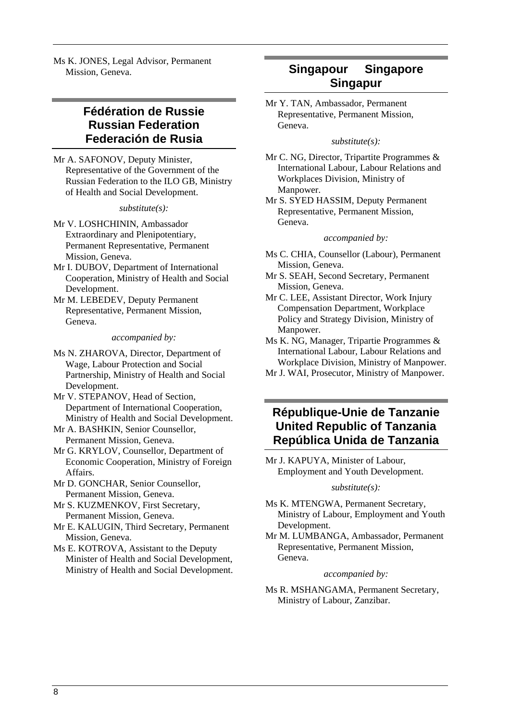Ms K. JONES, Legal Advisor, Permanent Mission, Geneva.

# **Fédération de Russie Russian Federation Federación de Rusia**

Mr A. SAFONOV, Deputy Minister, Representative of the Government of the Russian Federation to the ILO GB, Ministry of Health and Social Development.

#### *substitute(s):*

Mr V. LOSHCHININ, Ambassador Extraordinary and Plenipotentiary, Permanent Representative, Permanent Mission, Geneva.

Mr I. DUBOV, Department of International Cooperation, Ministry of Health and Social Development.

Mr M. LEBEDEV, Deputy Permanent Representative, Permanent Mission, Geneva.

#### *accompanied by:*

Ms N. ZHAROVA, Director, Department of Wage, Labour Protection and Social Partnership, Ministry of Health and Social Development.

Mr V. STEPANOV, Head of Section, Department of International Cooperation, Ministry of Health and Social Development.

Mr A. BASHKIN, Senior Counsellor, Permanent Mission, Geneva.

Mr G. KRYLOV, Counsellor, Department of Economic Cooperation, Ministry of Foreign Affairs.

Mr D. GONCHAR, Senior Counsellor, Permanent Mission, Geneva.

Mr S. KUZMENKOV, First Secretary, Permanent Mission, Geneva.

Mr E. KALUGIN, Third Secretary, Permanent Mission, Geneva.

Ms E. KOTROVA, Assistant to the Deputy Minister of Health and Social Development, Ministry of Health and Social Development.

# **Singapour Singapore Singapur**

Mr Y. TAN, Ambassador, Permanent Representative, Permanent Mission, Geneva.

#### *substitute(s):*

Mr C. NG, Director, Tripartite Programmes & International Labour, Labour Relations and Workplaces Division, Ministry of Manpower.

Mr S. SYED HASSIM, Deputy Permanent Representative, Permanent Mission, Geneva.

#### *accompanied by:*

- Ms C. CHIA, Counsellor (Labour), Permanent Mission, Geneva.
- Mr S. SEAH, Second Secretary, Permanent Mission, Geneva.
- Mr C. LEE, Assistant Director, Work Injury Compensation Department, Workplace Policy and Strategy Division, Ministry of Manpower.

Ms K. NG, Manager, Tripartie Programmes & International Labour, Labour Relations and Workplace Division, Ministry of Manpower.

Mr J. WAI, Prosecutor, Ministry of Manpower.

# **République-Unie de Tanzanie United Republic of Tanzania República Unida de Tanzania**

Mr J. KAPUYA, Minister of Labour, Employment and Youth Development.

#### *substitute(s):*

Ms K. MTENGWA, Permanent Secretary, Ministry of Labour, Employment and Youth Development.

Mr M. LUMBANGA, Ambassador, Permanent Representative, Permanent Mission, Geneva.

#### *accompanied by:*

Ms R. MSHANGAMA, Permanent Secretary, Ministry of Labour, Zanzibar.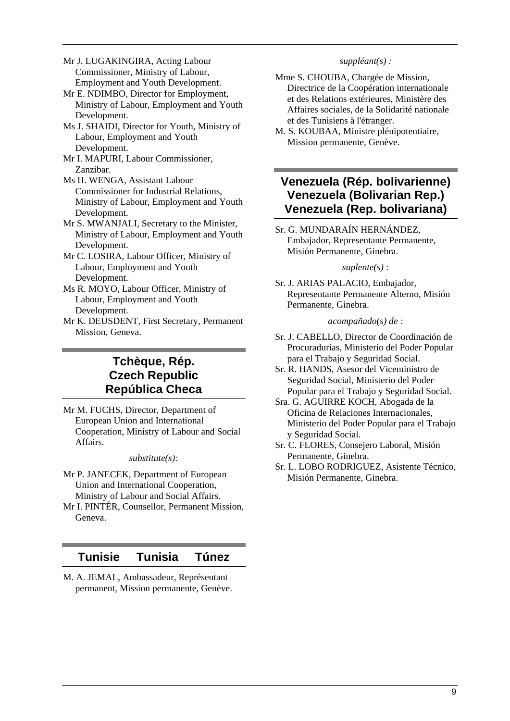Mr J. LUGAKINGIRA, Acting Labour Commissioner, Ministry of Labour, Employment and Youth Development.

Mr E. NDIMBO, Director for Employment, Ministry of Labour, Employment and Youth Development.

- Ms J. SHAIDI, Director for Youth, Ministry of Labour, Employment and Youth Development.
- Mr I. MAPURI, Labour Commissioner, Zanzibar.

Ms H. WENGA, Assistant Labour Commissioner for Industrial Relations, Ministry of Labour, Employment and Youth Development.

- Mr S. MWANJALI, Secretary to the Minister, Ministry of Labour, Employment and Youth Development.
- Mr C. LOSIRA, Labour Officer, Ministry of Labour, Employment and Youth Development.
- Ms R. MOYO, Labour Officer, Ministry of Labour, Employment and Youth Development.
- Mr K. DEUSDENT, First Secretary, Permanent Mission, Geneva.

# **Tchèque, Rép. Czech Republic República Checa**

Mr M. FUCHS, Director, Department of European Union and International Cooperation, Ministry of Labour and Social Affairs.

### *substitute(s):*

Mr P. JANECEK, Department of European Union and International Cooperation, Ministry of Labour and Social Affairs.

Mr I. PINTÉR, Counsellor, Permanent Mission, Geneva.

## **Tunisie Tunisia Túnez**

M. A. JEMAL, Ambassadeur, Représentant permanent, Mission permanente, Genève.

#### *suppléant(s) :*

- Mme S. CHOUBA, Chargée de Mission, Directrice de la Coopération internationale et des Relations extérieures, Ministère des Affaires sociales, de la Solidarité nationale et des Tunisiens à l'étranger.
- M. S. KOUBAA, Ministre plénipotentiaire, Mission permanente, Genève.

# **Venezuela (Rép. bolivarienne) Venezuela (Bolivarian Rep.) Venezuela (Rep. bolivariana)**

Sr. G. MUNDARAÍN HERNÁNDEZ, Embajador, Representante Permanente, Misión Permanente, Ginebra.

#### *suplente(s) :*

Sr. J. ARIAS PALACIO, Embajador, Representante Permanente Alterno, Misión Permanente, Ginebra.

#### *acompañado(s) de :*

- Sr. J. CABELLO, Director de Coordinación de Procuradurías, Ministerio del Poder Popular para el Trabajo y Seguridad Social.
- Sr. R. HANDS, Asesor del Viceministro de Seguridad Social, Ministerio del Poder Popular para el Trabajo y Seguridad Social.
- Sra. G. AGUIRRE KOCH, Abogada de la Oficina de Relaciones Internacionales, Ministerio del Poder Popular para el Trabajo y Seguridad Social.
- Sr. C. FLORES, Consejero Laboral, Misión Permanente, Ginebra.
- Sr. L. LOBO RODRIGUEZ, Asistente Técnico, Misión Permanente, Ginebra.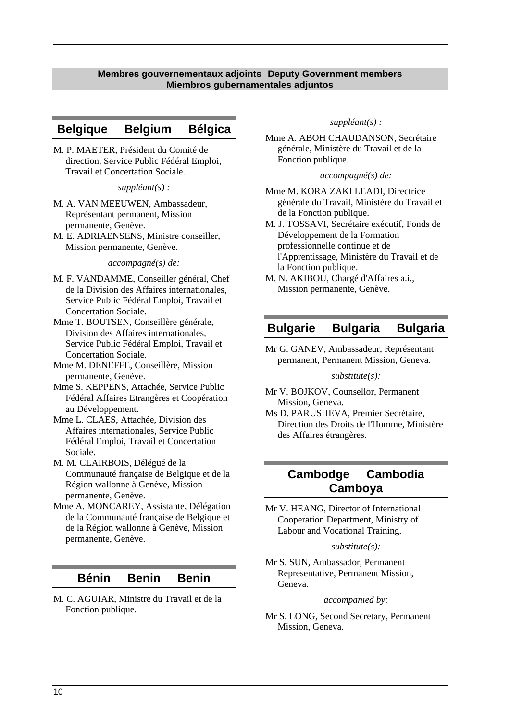#### **Membres gouvernementaux adjoints Deputy Government members Miembros gubernamentales adjuntos**

### **Belgique Belgium Bélgica**

M. P. MAETER, Président du Comité de direction, Service Public Fédéral Emploi, Travail et Concertation Sociale.

#### *suppléant(s) :*

- M. A. VAN MEEUWEN, Ambassadeur, Représentant permanent, Mission permanente, Genève.
- M. E. ADRIAENSENS, Ministre conseiller, Mission permanente, Genève.

*accompagné(s) de:* 

- M. F. VANDAMME, Conseiller général, Chef de la Division des Affaires internationales, Service Public Fédéral Emploi, Travail et Concertation Sociale.
- Mme T. BOUTSEN, Conseillère générale, Division des Affaires internationales, Service Public Fédéral Emploi, Travail et Concertation Sociale.
- Mme M. DENEFFE, Conseillère, Mission permanente, Genève.
- Mme S. KEPPENS, Attachée, Service Public Fédéral Affaires Etrangères et Coopération au Développement.
- Mme L. CLAES, Attachée, Division des Affaires internationales, Service Public Fédéral Emploi, Travail et Concertation Sociale.
- M. M. CLAIRBOIS, Délégué de la Communauté française de Belgique et de la Région wallonne à Genève, Mission permanente, Genève.
- Mme A. MONCAREY, Assistante, Délégation de la Communauté française de Belgique et de la Région wallonne à Genève, Mission permanente, Genève.

### **Bénin Benin Benin**

M. C. AGUIAR, Ministre du Travail et de la Fonction publique.

*suppléant(s) :* 

Mme A. ABOH CHAUDANSON, Secrétaire générale, Ministère du Travail et de la Fonction publique.

#### *accompagné(s) de:*

- Mme M. KORA ZAKI LEADI, Directrice générale du Travail, Ministère du Travail et de la Fonction publique.
- M. J. TOSSAVI, Secrétaire exécutif, Fonds de Développement de la Formation professionnelle continue et de l'Apprentissage, Ministère du Travail et de la Fonction publique.
- M. N. AKIBOU, Chargé d'Affaires a.i., Mission permanente, Genève.

## **Bulgarie Bulgaria Bulgaria**

Mr G. GANEV, Ambassadeur, Représentant permanent, Permanent Mission, Geneva.

#### *substitute(s):*

- Mr V. BOJKOV, Counsellor, Permanent Mission, Geneva.
- Ms D. PARUSHEVA, Premier Secrétaire, Direction des Droits de l'Homme, Ministère des Affaires étrangères.

# **Cambodge Cambodia Camboya**

Mr V. HEANG, Director of International Cooperation Department, Ministry of Labour and Vocational Training.

#### *substitute(s):*

Mr S. SUN, Ambassador, Permanent Representative, Permanent Mission, Geneva.

#### *accompanied by:*

Mr S. LONG, Second Secretary, Permanent Mission, Geneva.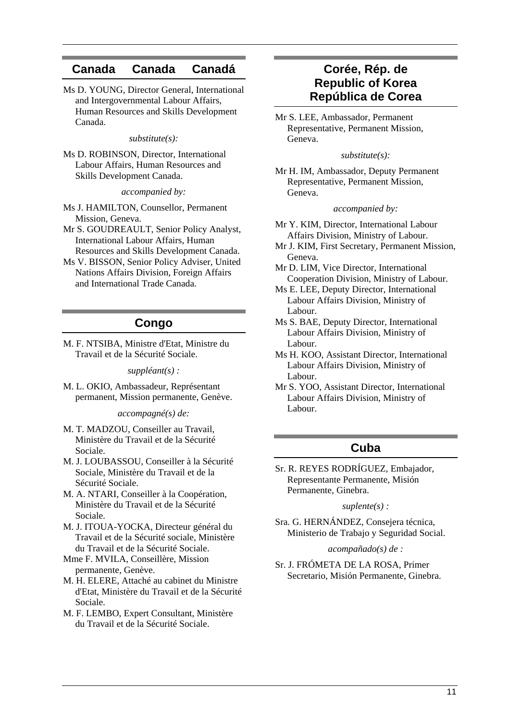### **Canada Canada Canadá**

Ms D. YOUNG, Director General, International and Intergovernmental Labour Affairs, Human Resources and Skills Development Canada.

*substitute(s):* 

Ms D. ROBINSON, Director, International Labour Affairs, Human Resources and Skills Development Canada.

*accompanied by:* 

Ms J. HAMILTON, Counsellor, Permanent Mission, Geneva.

Mr S. GOUDREAULT, Senior Policy Analyst, International Labour Affairs, Human Resources and Skills Development Canada.

Ms V. BISSON, Senior Policy Adviser, United Nations Affairs Division, Foreign Affairs and International Trade Canada.

### **Congo**

M. F. NTSIBA, Ministre d'Etat, Ministre du Travail et de la Sécurité Sociale.

*suppléant(s) :* 

M. L. OKIO, Ambassadeur, Représentant permanent, Mission permanente, Genève.

*accompagné(s) de:* 

- M. T. MADZOU, Conseiller au Travail, Ministère du Travail et de la Sécurité Sociale.
- M. J. LOUBASSOU, Conseiller à la Sécurité Sociale, Ministère du Travail et de la Sécurité Sociale.
- M. A. NTARI, Conseiller à la Coopération, Ministère du Travail et de la Sécurité Sociale.
- M. J. ITOUA-YOCKA, Directeur général du Travail et de la Sécurité sociale, Ministère du Travail et de la Sécurité Sociale.
- Mme F. MVILA, Conseillère, Mission permanente, Genève.
- M. H. ELERE, Attaché au cabinet du Ministre d'Etat, Ministère du Travail et de la Sécurité Sociale.
- M. F. LEMBO, Expert Consultant, Ministère du Travail et de la Sécurité Sociale.

# **Corée, Rép. de Republic of Korea República de Corea**

Mr S. LEE, Ambassador, Permanent Representative, Permanent Mission, Geneva.

*substitute(s):* 

Mr H. IM, Ambassador, Deputy Permanent Representative, Permanent Mission, Geneva.

*accompanied by:* 

- Mr Y. KIM, Director, International Labour Affairs Division, Ministry of Labour.
- Mr J. KIM, First Secretary, Permanent Mission, Geneva.
- Mr D. LIM, Vice Director, International Cooperation Division, Ministry of Labour.
- Ms E. LEE, Deputy Director, International Labour Affairs Division, Ministry of Labour.
- Ms S. BAE, Deputy Director, International Labour Affairs Division, Ministry of Labour.
- Ms H. KOO, Assistant Director, International Labour Affairs Division, Ministry of Labour.
- Mr S. YOO, Assistant Director, International Labour Affairs Division, Ministry of Labour.

# **Cuba**

Sr. R. REYES RODRÍGUEZ, Embajador, Representante Permanente, Misión Permanente, Ginebra.

#### *suplente(s) :*

Sra. G. HERNÁNDEZ, Consejera técnica, Ministerio de Trabajo y Seguridad Social.

*acompañado(s) de :* 

Sr. J. FRÓMETA DE LA ROSA, Primer Secretario, Misión Permanente, Ginebra.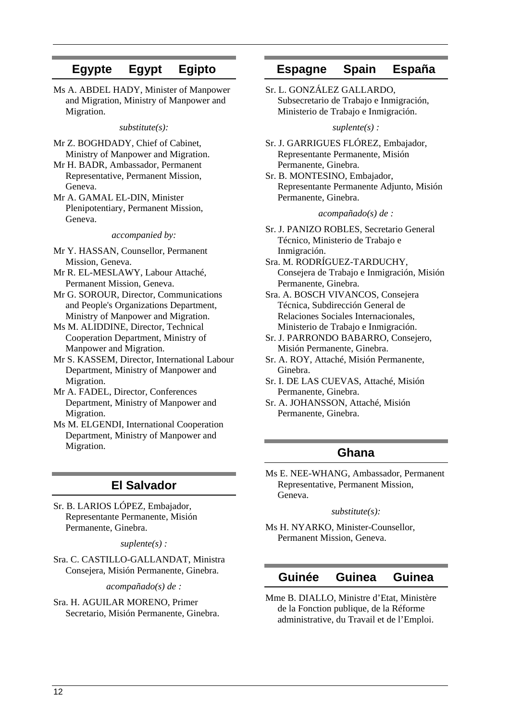# **Egypte Egypt Egipto**

Ms A. ABDEL HADY, Minister of Manpower and Migration, Ministry of Manpower and Migration.

#### *substitute(s):*

- Mr Z. BOGHDADY, Chief of Cabinet, Ministry of Manpower and Migration.
- Mr H. BADR, Ambassador, Permanent Representative, Permanent Mission, Geneva.
- Mr A. GAMAL EL-DIN, Minister Plenipotentiary, Permanent Mission, Geneva.

#### *accompanied by:*

- Mr Y. HASSAN, Counsellor, Permanent Mission, Geneva.
- Mr R. EL-MESLAWY, Labour Attaché, Permanent Mission, Geneva.
- Mr G. SOROUR, Director, Communications and People's Organizations Department, Ministry of Manpower and Migration.
- Ms M. ALIDDINE, Director, Technical Cooperation Department, Ministry of Manpower and Migration.
- Mr S. KASSEM, Director, International Labour Department, Ministry of Manpower and Migration.
- Mr A. FADEL, Director, Conferences Department, Ministry of Manpower and Migration.
- Ms M. ELGENDI, International Cooperation Department, Ministry of Manpower and Migration.

## **El Salvador**

Sr. B. LARIOS LÓPEZ, Embajador, Representante Permanente, Misión Permanente, Ginebra.

#### *suplente(s) :*

Sra. C. CASTILLO-GALLANDAT, Ministra Consejera, Misión Permanente, Ginebra.

*acompañado(s) de :* 

Sra. H. AGUILAR MORENO, Primer Secretario, Misión Permanente, Ginebra.

### **Espagne Spain España**

Sr. L. GONZÁLEZ GALLARDO, Subsecretario de Trabajo e Inmigración, Ministerio de Trabajo e Inmigración.

#### *suplente(s) :*

- Sr. J. GARRIGUES FLÓREZ, Embajador, Representante Permanente, Misión Permanente, Ginebra.
- Sr. B. MONTESINO, Embajador, Representante Permanente Adjunto, Misión Permanente, Ginebra.

*acompañado(s) de :* 

- Sr. J. PANIZO ROBLES, Secretario General Técnico, Ministerio de Trabajo e Inmigración.
- Sra. M. RODRÍGUEZ-TARDUCHY, Consejera de Trabajo e Inmigración, Misión Permanente, Ginebra.
- Sra. A. BOSCH VIVANCOS, Consejera Técnica, Subdirección General de Relaciones Sociales Internacionales, Ministerio de Trabajo e Inmigración.
- Sr. J. PARRONDO BABARRO, Consejero, Misión Permanente, Ginebra.
- Sr. A. ROY, Attaché, Misión Permanente, Ginebra.
- Sr. I. DE LAS CUEVAS, Attaché, Misión Permanente, Ginebra.
- Sr. A. JOHANSSON, Attaché, Misión Permanente, Ginebra.

### **Ghana**

Ms E. NEE-WHANG, Ambassador, Permanent Representative, Permanent Mission, Geneva.

*substitute(s):* 

Ms H. NYARKO, Minister-Counsellor, Permanent Mission, Geneva.

# **Guinée Guinea Guinea**

Mme B. DIALLO, Ministre d'Etat, Ministère de la Fonction publique, de la Réforme administrative, du Travail et de l'Emploi.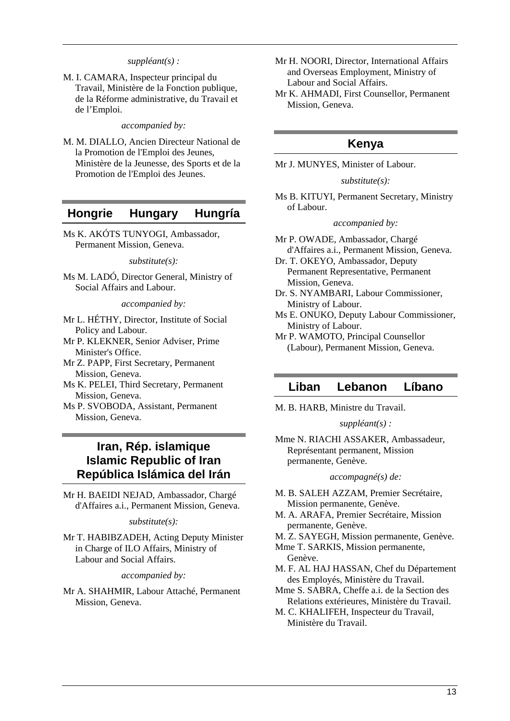#### *suppléant(s) :*

M. I. CAMARA, Inspecteur principal du Travail, Ministère de la Fonction publique, de la Réforme administrative, du Travail et de l'Emploi.

#### *accompanied by:*

M. M. DIALLO, Ancien Directeur National de la Promotion de l'Emploi des Jeunes, Ministère de la Jeunesse, des Sports et de la Promotion de l'Emploi des Jeunes.

### **Hongrie Hungary Hungría**

Ms K. AKÓTS TUNYOGI, Ambassador, Permanent Mission, Geneva.

#### *substitute(s):*

Ms M. LADÓ, Director General, Ministry of Social Affairs and Labour.

*accompanied by:* 

- Mr L. HÉTHY, Director, Institute of Social Policy and Labour.
- Mr P. KLEKNER, Senior Adviser, Prime Minister's Office.
- Mr Z. PAPP, First Secretary, Permanent Mission, Geneva.
- Ms K. PELEI, Third Secretary, Permanent Mission, Geneva.
- Ms P. SVOBODA, Assistant, Permanent Mission, Geneva.

# **Iran, Rép. islamique Islamic Republic of Iran República Islámica del Irán**

Mr H. BAEIDI NEJAD, Ambassador, Chargé d'Affaires a.i., Permanent Mission, Geneva.

#### *substitute(s):*

Mr T. HABIBZADEH, Acting Deputy Minister in Charge of ILO Affairs, Ministry of Labour and Social Affairs.

*accompanied by:* 

Mr A. SHAHMIR, Labour Attaché, Permanent Mission, Geneva.

- Mr H. NOORI, Director, International Affairs and Overseas Employment, Ministry of Labour and Social Affairs.
- Mr K. AHMADI, First Counsellor, Permanent Mission, Geneva.

### **Kenya**

Mr J. MUNYES, Minister of Labour.

#### *substitute(s):*

Ms B. KITUYI, Permanent Secretary, Ministry of Labour.

#### *accompanied by:*

- Mr P. OWADE, Ambassador, Chargé d'Affaires a.i., Permanent Mission, Geneva.
- Dr. T. OKEYO, Ambassador, Deputy Permanent Representative, Permanent Mission, Geneva.
- Dr. S. NYAMBARI, Labour Commissioner, Ministry of Labour.
- Ms E. ONUKO, Deputy Labour Commissioner, Ministry of Labour.
- Mr P. WAMOTO, Principal Counsellor (Labour), Permanent Mission, Geneva.

### **Liban Lebanon Líbano**

M. B. HARB, Ministre du Travail.

#### *suppléant(s) :*

Mme N. RIACHI ASSAKER, Ambassadeur, Représentant permanent, Mission permanente, Genève.

#### *accompagné(s) de:*

- M. B. SALEH AZZAM, Premier Secrétaire, Mission permanente, Genève.
- M. A. ARAFA, Premier Secrétaire, Mission permanente, Genève.
- M. Z. SAYEGH, Mission permanente, Genève.
- Mme T. SARKIS, Mission permanente, Genève.
- M. F. AL HAJ HASSAN, Chef du Département des Employés, Ministère du Travail.
- Mme S. SABRA, Cheffe a.i. de la Section des Relations extérieures, Ministère du Travail.
- M. C. KHALIFEH, Inspecteur du Travail, Ministère du Travail.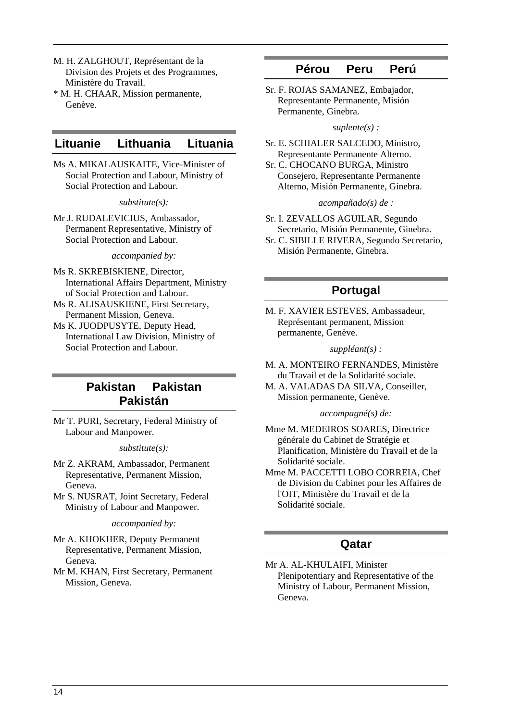- M. H. ZALGHOUT, Représentant de la Division des Projets et des Programmes, Ministère du Travail.
- \* M. H. CHAAR, Mission permanente, Genève.

# **Lituanie Lithuania Lituania**

Ms A. MIKALAUSKAITE, Vice-Minister of Social Protection and Labour, Ministry of Social Protection and Labour.

#### *substitute(s):*

Mr J. RUDALEVICIUS, Ambassador, Permanent Representative, Ministry of Social Protection and Labour.

#### *accompanied by:*

- Ms R. SKREBISKIENE, Director, International Affairs Department, Ministry of Social Protection and Labour.
- Ms R. ALISAUSKIENE, First Secretary, Permanent Mission, Geneva.
- Ms K. JUODPUSYTE, Deputy Head, International Law Division, Ministry of Social Protection and Labour.

# **Pakistan Pakistan Pakistán**

Mr T. PURI, Secretary, Federal Ministry of Labour and Manpower.

#### *substitute(s):*

- Mr Z. AKRAM, Ambassador, Permanent Representative, Permanent Mission, Geneva.
- Mr S. NUSRAT, Joint Secretary, Federal Ministry of Labour and Manpower.

*accompanied by:* 

- Mr A. KHOKHER, Deputy Permanent Representative, Permanent Mission, Geneva.
- Mr M. KHAN, First Secretary, Permanent Mission, Geneva.

### **Pérou Peru Perú**

Sr. F. ROJAS SAMANEZ, Embajador, Representante Permanente, Misión Permanente, Ginebra.

#### *suplente(s) :*

- Sr. E. SCHIALER SALCEDO, Ministro, Representante Permanente Alterno.
- Sr. C. CHOCANO BURGA, Ministro Consejero, Representante Permanente Alterno, Misión Permanente, Ginebra.

#### *acompañado(s) de :*

- Sr. I. ZEVALLOS AGUILAR, Segundo Secretario, Misión Permanente, Ginebra.
- Sr. C. SIBILLE RIVERA, Segundo Secretario, Misión Permanente, Ginebra.

### **Portugal**

M. F. XAVIER ESTEVES, Ambassadeur, Représentant permanent, Mission permanente, Genève.

#### *suppléant(s) :*

- M. A. MONTEIRO FERNANDES, Ministère du Travail et de la Solidarité sociale.
- M. A. VALADAS DA SILVA, Conseiller, Mission permanente, Genève.

#### *accompagné(s) de:*

- Mme M. MEDEIROS SOARES, Directrice générale du Cabinet de Stratégie et Planification, Ministère du Travail et de la Solidarité sociale.
- Mme M. PACCETTI LOBO CORREIA, Chef de Division du Cabinet pour les Affaires de l'OIT, Ministère du Travail et de la Solidarité sociale.

### **Qatar**

Mr A. AL-KHULAIFI, Minister Plenipotentiary and Representative of the Ministry of Labour, Permanent Mission, Geneva.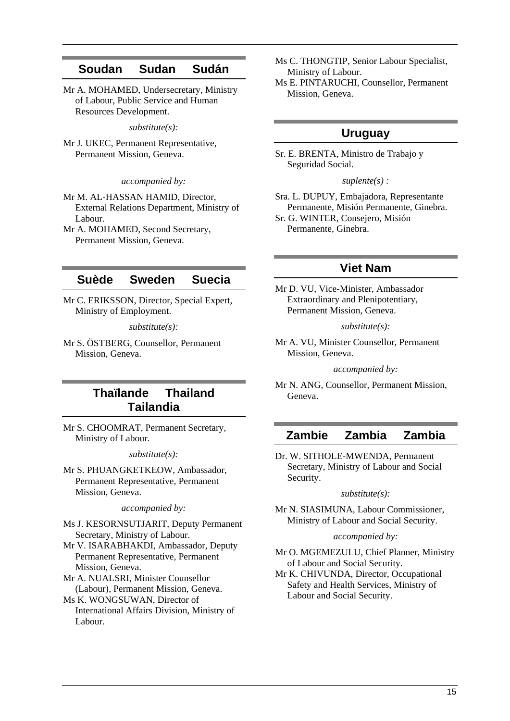# **Soudan Sudan Sudán**

Mr A. MOHAMED, Undersecretary, Ministry of Labour, Public Service and Human Resources Development.

*substitute(s):* 

Mr J. UKEC, Permanent Representative, Permanent Mission, Geneva.

*accompanied by:* 

Mr M. AL-HASSAN HAMID, Director, External Relations Department, Ministry of Labour.

Mr A. MOHAMED, Second Secretary, Permanent Mission, Geneva.

# **Suède Sweden Suecia**

Mr C. ERIKSSON, Director, Special Expert, Ministry of Employment.

*substitute(s):* 

Mr S. ÖSTBERG, Counsellor, Permanent Mission, Geneva.

# **Thaïlande Thailand Tailandia**

Mr S. CHOOMRAT, Permanent Secretary, Ministry of Labour.

*substitute(s):* 

Mr S. PHUANGKETKEOW, Ambassador, Permanent Representative, Permanent Mission, Geneva.

*accompanied by:* 

Ms J. KESORNSUTJARIT, Deputy Permanent Secretary, Ministry of Labour.

Mr V. ISARABHAKDI, Ambassador, Deputy Permanent Representative, Permanent Mission, Geneva.

Mr A. NUALSRI, Minister Counsellor (Labour), Permanent Mission, Geneva.

Ms K. WONGSUWAN, Director of International Affairs Division, Ministry of Labour.

Ms C. THONGTIP, Senior Labour Specialist, Ministry of Labour.

Ms E. PINTARUCHI, Counsellor, Permanent Mission, Geneva.

### **Uruguay**

Sr. E. BRENTA, Ministro de Trabajo y Seguridad Social.

*suplente(s) :* 

Sra. L. DUPUY, Embajadora, Representante Permanente, Misión Permanente, Ginebra. Sr. G. WINTER, Consejero, Misión

Permanente, Ginebra.

### **Viet Nam**

Mr D. VU, Vice-Minister, Ambassador Extraordinary and Plenipotentiary, Permanent Mission, Geneva.

*substitute(s):* 

Mr A. VU, Minister Counsellor, Permanent Mission, Geneva.

*accompanied by:* 

Mr N. ANG, Counsellor, Permanent Mission, Geneva.

## **Zambie Zambia Zambia**

Dr. W. SITHOLE-MWENDA, Permanent Secretary, Ministry of Labour and Social Security.

*substitute(s):* 

Mr N. SIASIMUNA, Labour Commissioner, Ministry of Labour and Social Security.

*accompanied by:* 

Mr O. MGEMEZULU, Chief Planner, Ministry of Labour and Social Security.

Mr K. CHIVUNDA, Director, Occupational Safety and Health Services, Ministry of Labour and Social Security.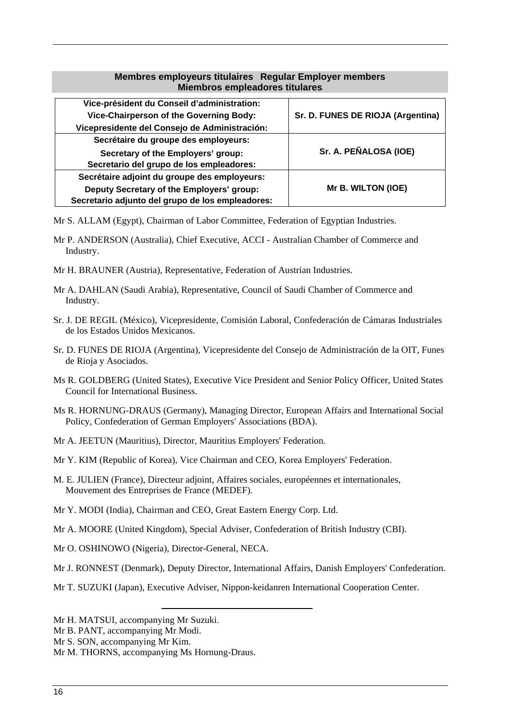### **Membres employeurs titulaires Regular Employer members Miembros empleadores titulares**

| Vice-président du Conseil d'administration:      |                                   |  |
|--------------------------------------------------|-----------------------------------|--|
| Vice-Chairperson of the Governing Body:          | Sr. D. FUNES DE RIOJA (Argentina) |  |
| Vicepresidente del Consejo de Administración:    |                                   |  |
| Secrétaire du groupe des employeurs:             |                                   |  |
| Secretary of the Employers' group:               | Sr. A. PEÑALOSA (IOE)             |  |
| Secretario del grupo de los empleadores:         |                                   |  |
| Secrétaire adjoint du groupe des employeurs:     |                                   |  |
| Deputy Secretary of the Employers' group:        | Mr B. WILTON (IOE)                |  |
| Secretario adjunto del grupo de los empleadores: |                                   |  |

Mr S. ALLAM (Egypt), Chairman of Labor Committee, Federation of Egyptian Industries.

- Mr P. ANDERSON (Australia), Chief Executive, ACCI Australian Chamber of Commerce and Industry.
- Mr H. BRAUNER (Austria), Representative, Federation of Austrian Industries.
- Mr A. DAHLAN (Saudi Arabia), Representative, Council of Saudi Chamber of Commerce and Industry.
- Sr. J. DE REGIL (México), Vicepresidente, Comisión Laboral, Confederación de Cámaras Industriales de los Estados Unidos Mexicanos.
- Sr. D. FUNES DE RIOJA (Argentina), Vicepresidente del Consejo de Administración de la OIT, Funes de Rioja y Asociados.
- Ms R. GOLDBERG (United States), Executive Vice President and Senior Policy Officer, United States Council for International Business.
- Ms R. HORNUNG-DRAUS (Germany), Managing Director, European Affairs and International Social Policy, Confederation of German Employers' Associations (BDA).
- Mr A. JEETUN (Mauritius), Director, Mauritius Employers' Federation.
- Mr Y. KIM (Republic of Korea), Vice Chairman and CEO, Korea Employers' Federation.
- M. E. JULIEN (France), Directeur adjoint, Affaires sociales, européennes et internationales, Mouvement des Entreprises de France (MEDEF).
- Mr Y. MODI (India), Chairman and CEO, Great Eastern Energy Corp. Ltd.
- Mr A. MOORE (United Kingdom), Special Adviser, Confederation of British Industry (CBI).
- Mr O. OSHINOWO (Nigeria), Director-General, NECA.
- Mr J. RONNEST (Denmark), Deputy Director, International Affairs, Danish Employers' Confederation.
- Mr T. SUZUKI (Japan), Executive Adviser, Nippon-keidanren International Cooperation Center.
- Mr H. MATSUI, accompanying Mr Suzuki.
- Mr B. PANT, accompanying Mr Modi.

Mr S. SON, accompanying Mr Kim.

Mr M. THORNS, accompanying Ms Hornung-Draus.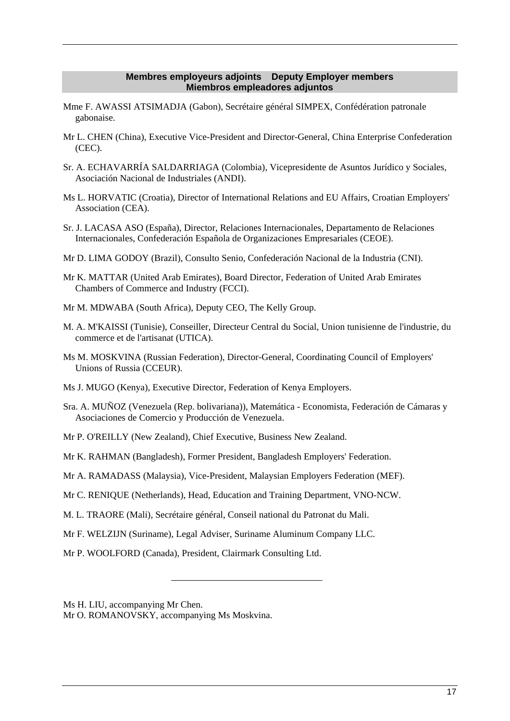#### **Membres employeurs adjoints Deputy Employer members Miembros empleadores adjuntos**

- Mme F. AWASSI ATSIMADJA (Gabon), Secrétaire général SIMPEX, Confédération patronale gabonaise.
- Mr L. CHEN (China), Executive Vice-President and Director-General, China Enterprise Confederation (CEC).
- Sr. A. ECHAVARRÍA SALDARRIAGA (Colombia), Vicepresidente de Asuntos Jurídico y Sociales, Asociación Nacional de Industriales (ANDI).
- Ms L. HORVATIC (Croatia), Director of International Relations and EU Affairs, Croatian Employers' Association (CEA).
- Sr. J. LACASA ASO (España), Director, Relaciones Internacionales, Departamento de Relaciones Internacionales, Confederación Española de Organizaciones Empresariales (CEOE).
- Mr D. LIMA GODOY (Brazil), Consulto Senio, Confederación Nacional de la Industria (CNI).
- Mr K. MATTAR (United Arab Emirates), Board Director, Federation of United Arab Emirates Chambers of Commerce and Industry (FCCI).
- Mr M. MDWABA (South Africa), Deputy CEO, The Kelly Group.
- M. A. M'KAISSI (Tunisie), Conseiller, Directeur Central du Social, Union tunisienne de l'industrie, du commerce et de l'artisanat (UTICA).
- Ms M. MOSKVINA (Russian Federation), Director-General, Coordinating Council of Employers' Unions of Russia (CCEUR).
- Ms J. MUGO (Kenya), Executive Director, Federation of Kenya Employers.
- Sra. A. MUÑOZ (Venezuela (Rep. bolivariana)), Matemática Economista, Federación de Cámaras y Asociaciones de Comercio y Producción de Venezuela.
- Mr P. O'REILLY (New Zealand), Chief Executive, Business New Zealand.
- Mr K. RAHMAN (Bangladesh), Former President, Bangladesh Employers' Federation.
- Mr A. RAMADASS (Malaysia), Vice-President, Malaysian Employers Federation (MEF).
- Mr C. RENIQUE (Netherlands), Head, Education and Training Department, VNO-NCW.
- M. L. TRAORE (Mali), Secrétaire général, Conseil national du Patronat du Mali.
- Mr F. WELZIJN (Suriname), Legal Adviser, Suriname Aluminum Company LLC.
- Mr P. WOOLFORD (Canada), President, Clairmark Consulting Ltd.

Ms H. LIU, accompanying Mr Chen.

Mr O. ROMANOVSKY, accompanying Ms Moskvina.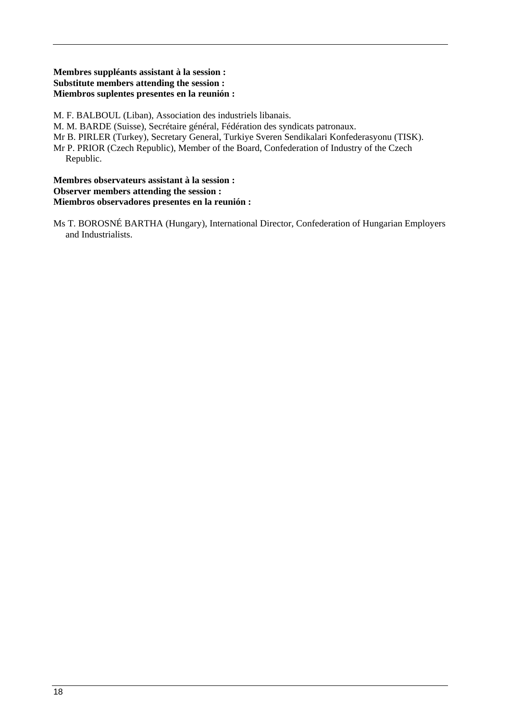### **Membres suppléants assistant à la session : Substitute members attending the session : Miembros suplentes presentes en la reunión :**

M. F. BALBOUL (Liban), Association des industriels libanais.

M. M. BARDE (Suisse), Secrétaire général, Fédération des syndicats patronaux.

Mr B. PIRLER (Turkey), Secretary General, Turkiye Sveren Sendikalari Konfederasyonu (TISK).

Mr P. PRIOR (Czech Republic), Member of the Board, Confederation of Industry of the Czech Republic.

#### **Membres observateurs assistant à la session : Observer members attending the session : Miembros observadores presentes en la reunión :**

Ms T. BOROSNÉ BARTHA (Hungary), International Director, Confederation of Hungarian Employers and Industrialists.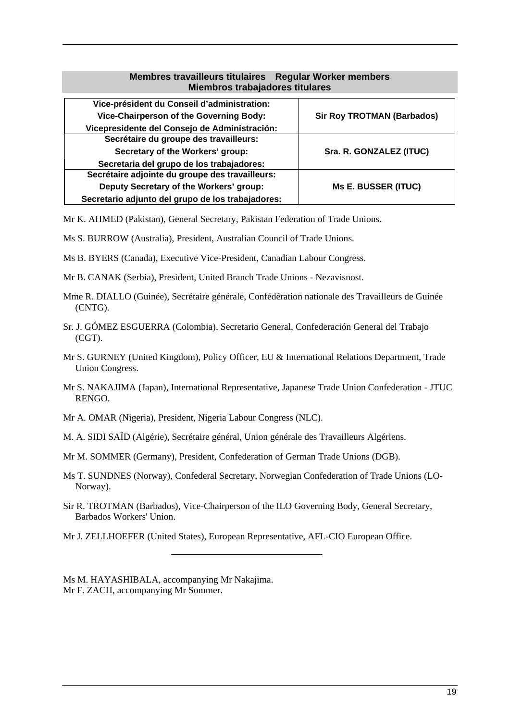### **Membres travailleurs titulaires Regular Worker members Miembros trabajadores titulares**

| Vice-président du Conseil d'administration:       |                                   |
|---------------------------------------------------|-----------------------------------|
| Vice-Chairperson of the Governing Body:           | <b>Sir Roy TROTMAN (Barbados)</b> |
| Vicepresidente del Consejo de Administración:     |                                   |
| Secrétaire du groupe des travailleurs:            |                                   |
| Secretary of the Workers' group:                  | Sra. R. GONZALEZ (ITUC)           |
| Secretaria del grupo de los trabajadores:         |                                   |
| Secrétaire adjointe du groupe des travailleurs:   |                                   |
| Deputy Secretary of the Workers' group:           | <b>Ms E. BUSSER (ITUC)</b>        |
| Secretario adjunto del grupo de los trabajadores: |                                   |

Mr K. AHMED (Pakistan), General Secretary, Pakistan Federation of Trade Unions.

- Ms S. BURROW (Australia), President, Australian Council of Trade Unions.
- Ms B. BYERS (Canada), Executive Vice-President, Canadian Labour Congress.
- Mr B. CANAK (Serbia), President, United Branch Trade Unions Nezavisnost.
- Mme R. DIALLO (Guinée), Secrétaire générale, Confédération nationale des Travailleurs de Guinée (CNTG).
- Sr. J. GÓMEZ ESGUERRA (Colombia), Secretario General, Confederación General del Trabajo (CGT).
- Mr S. GURNEY (United Kingdom), Policy Officer, EU & International Relations Department, Trade Union Congress.
- Mr S. NAKAJIMA (Japan), International Representative, Japanese Trade Union Confederation JTUC RENGO.
- Mr A. OMAR (Nigeria), President, Nigeria Labour Congress (NLC).
- M. A. SIDI SAÏD (Algérie), Secrétaire général, Union générale des Travailleurs Algériens.
- Mr M. SOMMER (Germany), President, Confederation of German Trade Unions (DGB).
- Ms T. SUNDNES (Norway), Confederal Secretary, Norwegian Confederation of Trade Unions (LO-Norway).
- Sir R. TROTMAN (Barbados), Vice-Chairperson of the ILO Governing Body, General Secretary, Barbados Workers' Union.
- Mr J. ZELLHOEFER (United States), European Representative, AFL-CIO European Office.
- Ms M. HAYASHIBALA, accompanying Mr Nakajima. Mr F. ZACH, accompanying Mr Sommer.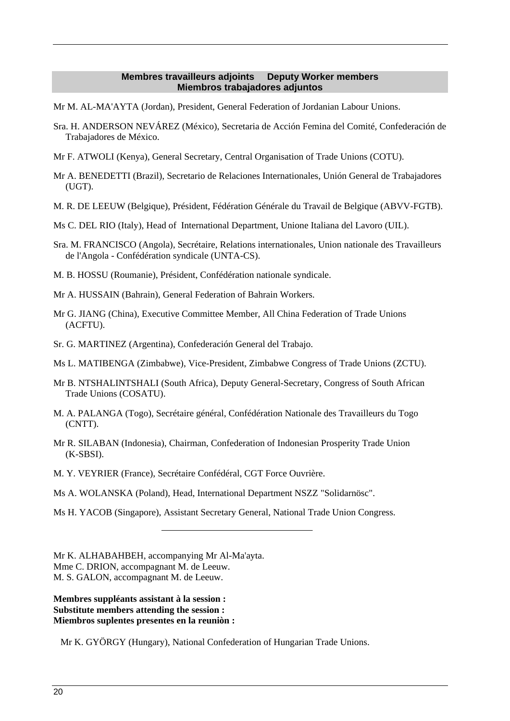### **Membres travailleurs adjoints Deputy Worker members Miembros trabajadores adjuntos**

Mr M. AL-MA'AYTA (Jordan), President, General Federation of Jordanian Labour Unions.

- Sra. H. ANDERSON NEVÁREZ (México), Secretaria de Acción Femina del Comité, Confederación de Trabajadores de México.
- Mr F. ATWOLI (Kenya), General Secretary, Central Organisation of Trade Unions (COTU).
- Mr A. BENEDETTI (Brazil), Secretario de Relaciones Internationales, Unión General de Trabajadores (UGT).
- M. R. DE LEEUW (Belgique), Président, Fédération Générale du Travail de Belgique (ABVV-FGTB).
- Ms C. DEL RIO (Italy), Head of International Department, Unione Italiana del Lavoro (UIL).
- Sra. M. FRANCISCO (Angola), Secrétaire, Relations internationales, Union nationale des Travailleurs de l'Angola - Confédération syndicale (UNTA-CS).
- M. B. HOSSU (Roumanie), Président, Confédération nationale syndicale.
- Mr A. HUSSAIN (Bahrain), General Federation of Bahrain Workers.
- Mr G. JIANG (China), Executive Committee Member, All China Federation of Trade Unions (ACFTU).
- Sr. G. MARTINEZ (Argentina), Confederación General del Trabajo.
- Ms L. MATIBENGA (Zimbabwe), Vice-President, Zimbabwe Congress of Trade Unions (ZCTU).
- Mr B. NTSHALINTSHALI (South Africa), Deputy General-Secretary, Congress of South African Trade Unions (COSATU).
- M. A. PALANGA (Togo), Secrétaire général, Confédération Nationale des Travailleurs du Togo (CNTT).
- Mr R. SILABAN (Indonesia), Chairman, Confederation of Indonesian Prosperity Trade Union (K-SBSI).
- M. Y. VEYRIER (France), Secrétaire Confédéral, CGT Force Ouvrière.
- Ms A. WOLANSKA (Poland), Head, International Department NSZZ "Solidarnösc".
- Ms H. YACOB (Singapore), Assistant Secretary General, National Trade Union Congress.

Mr K. ALHABAHBEH, accompanying Mr Al-Ma'ayta. Mme C. DRION, accompagnant M. de Leeuw. M. S. GALON, accompagnant M. de Leeuw.

**Membres suppléants assistant à la session : Substitute members attending the session : Miembros suplentes presentes en la reuniòn :** 

Mr K. GYÖRGY (Hungary), National Confederation of Hungarian Trade Unions.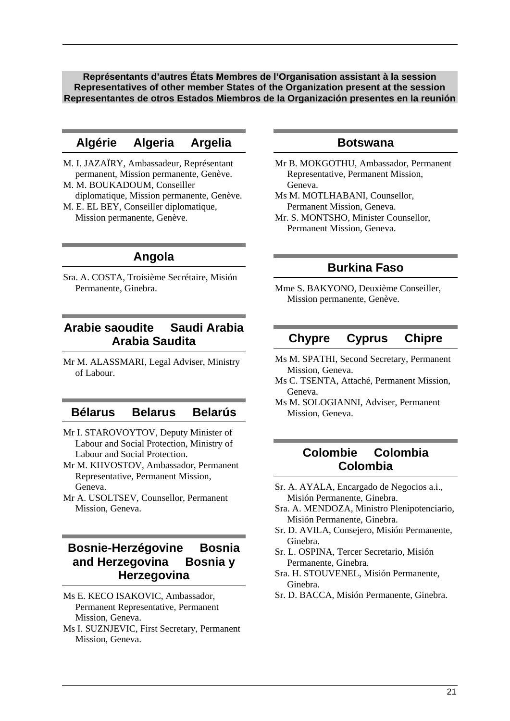**Représentants d'autres États Membres de l'Organisation assistant à la session Representatives of other member States of the Organization present at the session Representantes de otros Estados Miembros de la Organización presentes en la reunión** 

# **Algérie Algeria Argelia**

- M. I. JAZAÏRY, Ambassadeur, Représentant permanent, Mission permanente, Genève.
- M. M. BOUKADOUM, Conseiller diplomatique, Mission permanente, Genève.
- M. E. EL BEY, Conseiller diplomatique, Mission permanente, Genève.

## **Angola**

Sra. A. COSTA, Troisième Secrétaire, Misión Permanente, Ginebra.

# **Arabie saoudite Saudi Arabia Arabia Saudita**

Mr M. ALASSMARI, Legal Adviser, Ministry of Labour.

### **Bélarus Belarus Belarús**

- Mr I. STAROVOYTOV, Deputy Minister of Labour and Social Protection, Ministry of Labour and Social Protection.
- Mr M. KHVOSTOV, Ambassador, Permanent Representative, Permanent Mission, Geneva.
- Mr A. USOLTSEV, Counsellor, Permanent Mission, Geneva.

# **Bosnie-Herzégovine Bosnia and Herzegovina Bosnia y Herzegovina**

- Ms E. KECO ISAKOVIC, Ambassador, Permanent Representative, Permanent Mission, Geneva.
- Ms I. SUZNJEVIC, First Secretary, Permanent Mission, Geneva.

### **Botswana**

- Mr B. MOKGOTHU, Ambassador, Permanent Representative, Permanent Mission, Geneva.
- Ms M. MOTLHABANI, Counsellor, Permanent Mission, Geneva.
- Mr. S. MONTSHO, Minister Counsellor, Permanent Mission, Geneva.

### **Burkina Faso**

Mme S. BAKYONO, Deuxième Conseiller, Mission permanente, Genève.

### **Chypre Cyprus Chipre**

- Ms M. SPATHI, Second Secretary, Permanent Mission, Geneva.
- Ms C. TSENTA, Attaché, Permanent Mission, Geneva.
- Ms M. SOLOGIANNI, Adviser, Permanent Mission, Geneva.

# **Colombie Colombia Colombia**

- Sr. A. AYALA, Encargado de Negocios a.i., Misión Permanente, Ginebra.
- Sra. A. MENDOZA, Ministro Plenipotenciario, Misión Permanente, Ginebra.
- Sr. D. AVILA, Consejero, Misión Permanente, Ginebra.
- Sr. L. OSPINA, Tercer Secretario, Misión Permanente, Ginebra.
- Sra. H. STOUVENEL, Misión Permanente, Ginebra.
- Sr. D. BACCA, Misión Permanente, Ginebra.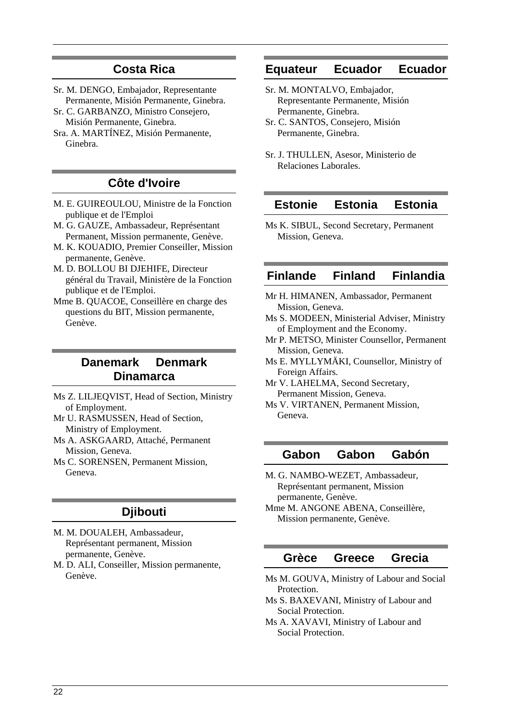## **Costa Rica**

- Sr. M. DENGO, Embajador, Representante Permanente, Misión Permanente, Ginebra.
- Sr. C. GARBANZO, Ministro Consejero, Misión Permanente, Ginebra.
- Sra. A. MARTÍNEZ, Misión Permanente, Ginebra.

# **Côte d'Ivoire**

- M. E. GUIREOULOU, Ministre de la Fonction publique et de l'Emploi
- M. G. GAUZE, Ambassadeur, Représentant Permanent, Mission permanente, Genève.
- M. K. KOUADIO, Premier Conseiller, Mission permanente, Genève.
- M. D. BOLLOU BI DJEHIFE, Directeur général du Travail, Ministère de la Fonction publique et de l'Emploi.
- Mme B. QUACOE, Conseillère en charge des questions du BIT, Mission permanente, Genève.

### **Danemark Denmark Dinamarca**

- Ms Z. LILJEQVIST, Head of Section, Ministry of Employment.
- Mr U. RASMUSSEN, Head of Section, Ministry of Employment.
- Ms A. ASKGAARD, Attaché, Permanent Mission, Geneva.
- Ms C. SORENSEN, Permanent Mission, Geneva.

# **Djibouti**

- M. M. DOUALEH, Ambassadeur, Représentant permanent, Mission permanente, Genève.
- M. D. ALI, Conseiller, Mission permanente, Genève.

### **Equateur Ecuador Ecuador**

- Sr. M. MONTALVO, Embajador, Representante Permanente, Misión Permanente, Ginebra.
- Sr. C. SANTOS, Consejero, Misión Permanente, Ginebra.
- Sr. J. THULLEN, Asesor, Ministerio de Relaciones Laborales.

### **Estonie Estonia Estonia**

Ms K. SIBUL, Second Secretary, Permanent Mission, Geneva.

## **Finlande Finland Finlandia**

- Mr H. HIMANEN, Ambassador, Permanent Mission, Geneva.
- Ms S. MODEEN, Ministerial Adviser, Ministry of Employment and the Economy.
- Mr P. METSO, Minister Counsellor, Permanent Mission, Geneva.
- Ms E. MYLLYMÄKI, Counsellor, Ministry of Foreign Affairs.
- Mr V. LAHELMA, Second Secretary, Permanent Mission, Geneva.
- Ms V. VIRTANEN, Permanent Mission, Geneva.

### **Gabon Gabon Gabón**

- M. G. NAMBO-WEZET, Ambassadeur, Représentant permanent, Mission permanente, Genève. Mme M. ANGONE ABENA, Conseillère,
- Mission permanente, Genève.

### **Grèce Greece Grecia**

- Ms M. GOUVA, Ministry of Labour and Social Protection.
- Ms S. BAXEVANI, Ministry of Labour and Social Protection.
- Ms A. XAVAVI, Ministry of Labour and Social Protection.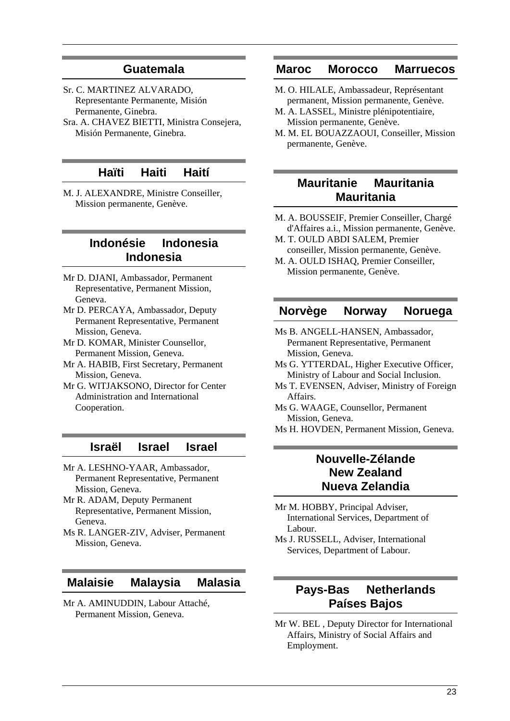### **Guatemala**

- Sr. C. MARTINEZ ALVARADO, Representante Permanente, Misión Permanente, Ginebra.
- Sra. A. CHAVEZ BIETTI, Ministra Consejera, Misión Permanente, Ginebra.

### **Haïti Haiti Haití**

M. J. ALEXANDRE, Ministre Conseiller, Mission permanente, Genève.

### **Indonésie Indonesia Indonesia**

- Mr D. DJANI, Ambassador, Permanent Representative, Permanent Mission, Geneva.
- Mr D. PERCAYA, Ambassador, Deputy Permanent Representative, Permanent Mission, Geneva.
- Mr D. KOMAR, Minister Counsellor, Permanent Mission, Geneva.
- Mr A. HABIB, First Secretary, Permanent Mission, Geneva.
- Mr G. WITJAKSONO, Director for Center Administration and International Cooperation.

### **Israël Israel Israel**

- Mr A. LESHNO-YAAR, Ambassador, Permanent Representative, Permanent Mission, Geneva.
- Mr R. ADAM, Deputy Permanent Representative, Permanent Mission, Geneva.
- Ms R. LANGER-ZIV, Adviser, Permanent Mission, Geneva.

### **Malaisie Malaysia Malasia**

Mr A. AMINUDDIN, Labour Attaché, Permanent Mission, Geneva.

### **Maroc Morocco Marruecos**

- M. O. HILALE, Ambassadeur, Représentant permanent, Mission permanente, Genève.
- M. A. LASSEL, Ministre plénipotentiaire, Mission permanente, Genève.
- M. M. EL BOUAZZAOUI, Conseiller, Mission permanente, Genève.

## **Mauritanie Mauritania Mauritania**

- M. A. BOUSSEIF, Premier Conseiller, Chargé d'Affaires a.i., Mission permanente, Genève.
- M. T. OULD ABDI SALEM, Premier conseiller, Mission permanente, Genève.
- M. A. OULD ISHAQ, Premier Conseiller, Mission permanente, Genève.

### **Norvège Norway Noruega**

- Ms B. ANGELL-HANSEN, Ambassador, Permanent Representative, Permanent Mission, Geneva.
- Ms G. YTTERDAL, Higher Executive Officer, Ministry of Labour and Social Inclusion.
- Ms T. EVENSEN, Adviser, Ministry of Foreign Affairs.
- Ms G. WAAGE, Counsellor, Permanent Mission, Geneva.
- Ms H. HOVDEN, Permanent Mission, Geneva.

# **Nouvelle-Zélande New Zealand Nueva Zelandia**

- Mr M. HOBBY, Principal Adviser, International Services, Department of Labour.
- Ms J. RUSSELL, Adviser, International Services, Department of Labour.

# **Pays-Bas Netherlands Países Bajos**

Mr W. BEL , Deputy Director for International Affairs, Ministry of Social Affairs and Employment.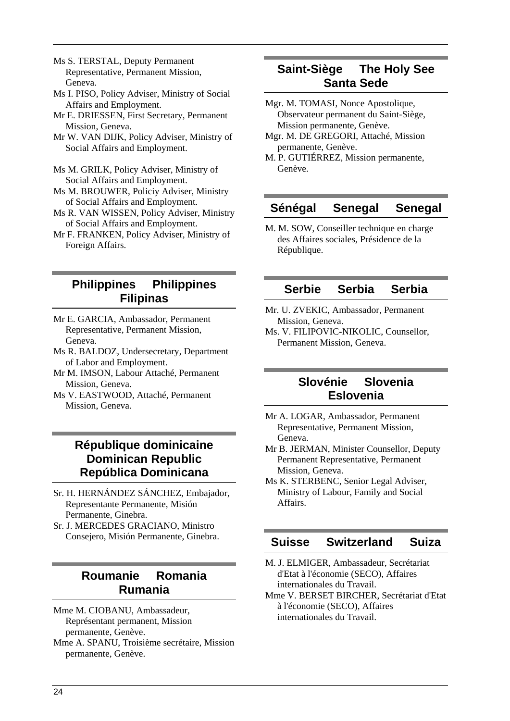- Ms S. TERSTAL, Deputy Permanent Representative, Permanent Mission, Geneva.
- Ms I. PISO, Policy Adviser, Ministry of Social Affairs and Employment.
- Mr E. DRIESSEN, First Secretary, Permanent Mission, Geneva.
- Mr W. VAN DIJK, Policy Adviser, Ministry of Social Affairs and Employment.
- Ms M. GRILK, Policy Adviser, Ministry of Social Affairs and Employment.
- Ms M. BROUWER, Policiy Adviser, Ministry of Social Affairs and Employment.
- Ms R. VAN WISSEN, Policy Adviser, Ministry of Social Affairs and Employment.
- Mr F. FRANKEN, Policy Adviser, Ministry of Foreign Affairs.

## **Philippines Philippines Filipinas**

- Mr E. GARCIA, Ambassador, Permanent Representative, Permanent Mission, Geneva.
- Ms R. BALDOZ, Undersecretary, Department of Labor and Employment.
- Mr M. IMSON, Labour Attaché, Permanent Mission, Geneva.
- Ms V. EASTWOOD, Attaché, Permanent Mission, Geneva.

# **République dominicaine Dominican Republic República Dominicana**

- Sr. H. HERNÁNDEZ SÁNCHEZ, Embajador, Representante Permanente, Misión Permanente, Ginebra.
- Sr. J. MERCEDES GRACIANO, Ministro Consejero, Misión Permanente, Ginebra.

# **Roumanie Romania Rumania**

- Mme M. CIOBANU, Ambassadeur, Représentant permanent, Mission permanente, Genève.
- Mme A. SPANU, Troisième secrétaire, Mission permanente, Genève.

# **Saint-Siège The Holy See Santa Sede**

- Mgr. M. TOMASI, Nonce Apostolique, Observateur permanent du Saint-Siège, Mission permanente, Genève.
- Mgr. M. DE GREGORI, Attaché, Mission permanente, Genève.
- M. P. GUTIÉRREZ, Mission permanente, Genève.

## **Sénégal Senegal Senegal**

M. M. SOW, Conseiller technique en charge des Affaires sociales, Présidence de la République.

## **Serbie Serbia Serbia**

- Mr. U. ZVEKIC, Ambassador, Permanent Mission, Geneva.
- Ms. V. FILIPOVIC-NIKOLIC, Counsellor, Permanent Mission, Geneva.

# **Slovénie Slovenia Eslovenia**

- Mr A. LOGAR, Ambassador, Permanent Representative, Permanent Mission, Geneva.
- Mr B. JERMAN, Minister Counsellor, Deputy Permanent Representative, Permanent Mission, Geneva.
- Ms K. STERBENC, Senior Legal Adviser, Ministry of Labour, Family and Social Affairs.

# **Suisse Switzerland Suiza**

- M. J. ELMIGER, Ambassadeur, Secrétariat d'Etat à l'économie (SECO), Affaires internationales du Travail.
- Mme V. BERSET BIRCHER, Secrétariat d'Etat à l'économie (SECO), Affaires internationales du Travail.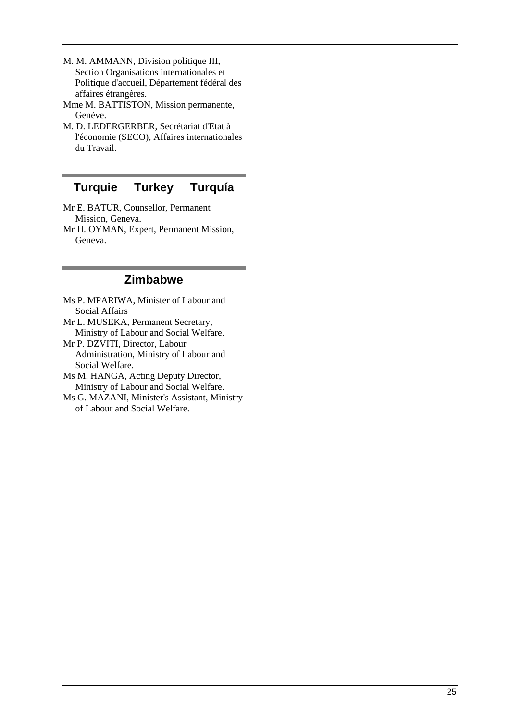- M. M. AMMANN, Division politique III, Section Organisations internationales et Politique d'accueil, Département fédéral des affaires étrangères.
- Mme M. BATTISTON, Mission permanente, Genève.
- M. D. LEDERGERBER, Secrétariat d'Etat à l'économie (SECO), Affaires internationales du Travail.

# **Turquie Turkey Turquía**

- Mr E. BATUR, Counsellor, Permanent Mission, Geneva.
- Mr H. OYMAN, Expert, Permanent Mission, Geneva.

# **Zimbabwe**

- Ms P. MPARIWA, Minister of Labour and Social Affairs
- Mr L. MUSEKA, Permanent Secretary, Ministry of Labour and Social Welfare.
- Mr P. DZVITI, Director, Labour Administration, Ministry of Labour and Social Welfare.

Ms M. HANGA, Acting Deputy Director, Ministry of Labour and Social Welfare.

Ms G. MAZANI, Minister's Assistant, Ministry of Labour and Social Welfare.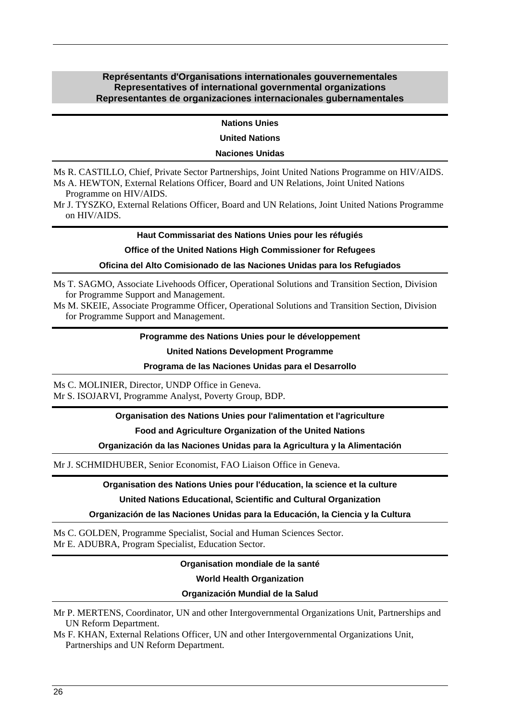### **Représentants d'Organisations internationales gouvernementales Representatives of international governmental organizations Representantes de organizaciones internacionales gubernamentales**

**Nations Unies** 

**United Nations** 

#### **Naciones Unidas**

Ms R. CASTILLO, Chief, Private Sector Partnerships, Joint United Nations Programme on HIV/AIDS. Ms A. HEWTON, External Relations Officer, Board and UN Relations, Joint United Nations Programme on HIV/AIDS.

Mr J. TYSZKO, External Relations Officer, Board and UN Relations, Joint United Nations Programme on HIV/AIDS.

#### **Haut Commissariat des Nations Unies pour les réfugiés**

#### **Office of the United Nations High Commissioner for Refugees**

#### **Oficina del Alto Comisionado de las Naciones Unidas para los Refugiados**

Ms T. SAGMO, Associate Livehoods Officer, Operational Solutions and Transition Section, Division for Programme Support and Management.

Ms M. SKEIE, Associate Programme Officer, Operational Solutions and Transition Section, Division for Programme Support and Management.

#### **Programme des Nations Unies pour le développement**

#### **United Nations Development Programme**

#### **Programa de las Naciones Unidas para el Desarrollo**

Ms C. MOLINIER, Director, UNDP Office in Geneva. Mr S. ISOJARVI, Programme Analyst, Poverty Group, BDP.

#### **Organisation des Nations Unies pour l'alimentation et l'agriculture**

#### **Food and Agriculture Organization of the United Nations**

### **Organización da las Naciones Unidas para la Agricultura y la Alimentación**

Mr J. SCHMIDHUBER, Senior Economist, FAO Liaison Office in Geneva.

#### **Organisation des Nations Unies pour l'éducation, la science et la culture**

#### **United Nations Educational, Scientific and Cultural Organization**

#### **Organización de las Naciones Unidas para la Educación, la Ciencia y la Cultura**

Ms C. GOLDEN, Programme Specialist, Social and Human Sciences Sector. Mr E. ADUBRA, Program Specialist, Education Sector.

#### **Organisation mondiale de la santé**

#### **World Health Organization**

#### **Organización Mundial de la Salud**

Mr P. MERTENS, Coordinator, UN and other Intergovernmental Organizations Unit, Partnerships and UN Reform Department.

Ms F. KHAN, External Relations Officer, UN and other Intergovernmental Organizations Unit, Partnerships and UN Reform Department.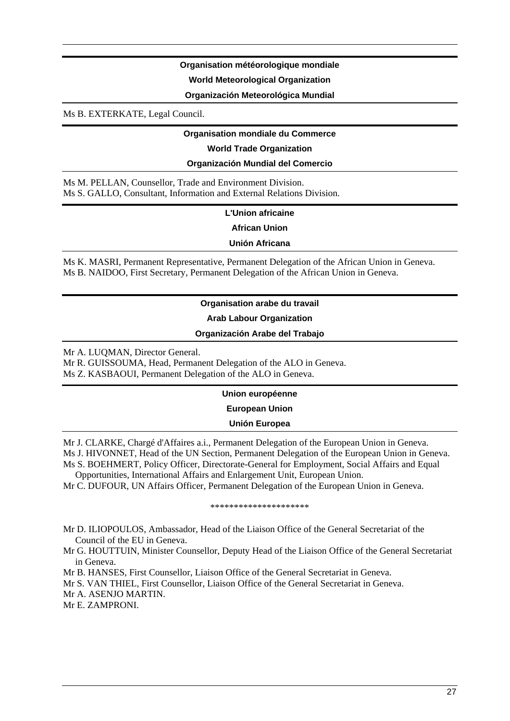#### **Organisation météorologique mondiale**

#### **World Meteorological Organization**

#### **Organización Meteorológica Mundial**

Ms B. EXTERKATE, Legal Council.

#### **Organisation mondiale du Commerce**

**World Trade Organization** 

#### **Organización Mundial del Comercio**

Ms M. PELLAN, Counsellor, Trade and Environment Division. Ms S. GALLO, Consultant, Information and External Relations Division.

#### **L'Union africaine**

**African Union** 

#### **Unión Africana**

Ms K. MASRI, Permanent Representative, Permanent Delegation of the African Union in Geneva. Ms B. NAIDOO, First Secretary, Permanent Delegation of the African Union in Geneva.

#### **Organisation arabe du travail**

#### **Arab Labour Organization**

#### **Organización Arabe del Trabajo**

Mr A. LUQMAN, Director General.

Mr R. GUISSOUMA, Head, Permanent Delegation of the ALO in Geneva.

Ms Z. KASBAOUI, Permanent Delegation of the ALO in Geneva.

#### **Union européenne**

#### **European Union**

#### **Unión Europea**

Mr J. CLARKE, Chargé d'Affaires a.i., Permanent Delegation of the European Union in Geneva. Ms J. HIVONNET, Head of the UN Section, Permanent Delegation of the European Union in Geneva. Ms S. BOEHMERT, Policy Officer, Directorate-General for Employment, Social Affairs and Equal

Opportunities, International Affairs and Enlargement Unit, European Union.

Mr C. DUFOUR, UN Affairs Officer, Permanent Delegation of the European Union in Geneva.

#### \*\*\*\*\*\*\*\*\*\*\*\*\*\*\*\*\*\*\*\*\*

- Mr D. ILIOPOULOS, Ambassador, Head of the Liaison Office of the General Secretariat of the Council of the EU in Geneva.
- Mr G. HOUTTUIN, Minister Counsellor, Deputy Head of the Liaison Office of the General Secretariat in Geneva.
- Mr B. HANSES, First Counsellor, Liaison Office of the General Secretariat in Geneva.

Mr S. VAN THIEL, First Counsellor, Liaison Office of the General Secretariat in Geneva.

Mr A. ASENJO MARTIN.

Mr E. ZAMPRONI.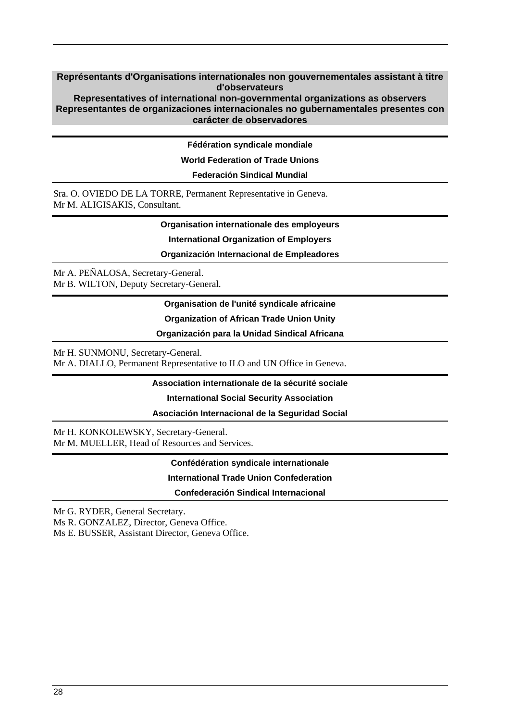### **Représentants d'Organisations internationales non gouvernementales assistant à titre d'observateurs**

**Representatives of international non-governmental organizations as observers Representantes de organizaciones internacionales no gubernamentales presentes con carácter de observadores** 

**Fédération syndicale mondiale** 

**World Federation of Trade Unions** 

**Federación Sindical Mundial** 

Sra. O. OVIEDO DE LA TORRE, Permanent Representative in Geneva. Mr M. ALIGISAKIS, Consultant.

**Organisation internationale des employeurs** 

**International Organization of Employers** 

**Organización Internacional de Empleadores** 

Mr A. PEÑALOSA, Secretary-General. Mr B. WILTON, Deputy Secretary-General.

**Organisation de l'unité syndicale africaine** 

**Organization of African Trade Union Unity** 

**Organización para la Unidad Sindical Africana** 

Mr H. SUNMONU, Secretary-General.

Mr A. DIALLO, Permanent Representative to ILO and UN Office in Geneva.

### **Association internationale de la sécurité sociale**

**International Social Security Association** 

**Asociación Internacional de la Seguridad Social** 

Mr H. KONKOLEWSKY, Secretary-General. Mr M. MUELLER, Head of Resources and Services.

**Confédération syndicale internationale** 

**International Trade Union Confederation** 

**Confederación Sindical Internacional** 

Mr G. RYDER, General Secretary.

Ms R. GONZALEZ, Director, Geneva Office.

Ms E. BUSSER, Assistant Director, Geneva Office.